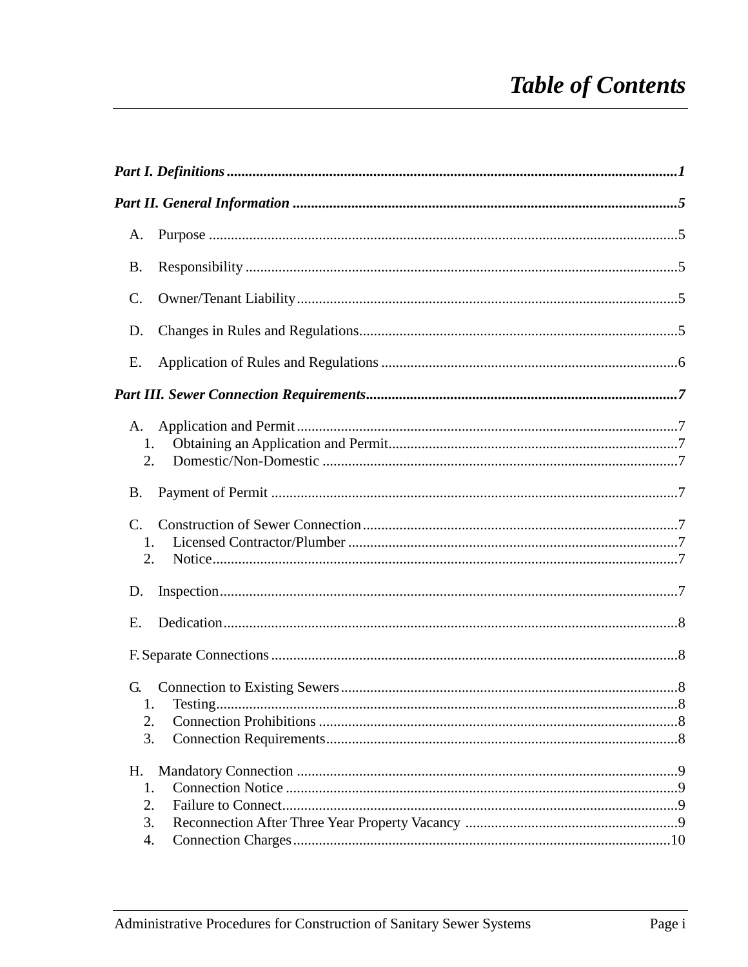# **Table of Contents**

| A.                    |  |
|-----------------------|--|
| Β.                    |  |
| C.                    |  |
| D.                    |  |
| Ε.                    |  |
|                       |  |
| A.                    |  |
| 1.                    |  |
| 2.                    |  |
| <b>B.</b>             |  |
| $\mathcal{C}_{\cdot}$ |  |
| 1.                    |  |
| 2.                    |  |
| D.                    |  |
| E.                    |  |
|                       |  |
| G.                    |  |
| 1.                    |  |
| 2.                    |  |
| 3.                    |  |
| Η.                    |  |
| 1.                    |  |
| 2.                    |  |
| 3.                    |  |
| 4.                    |  |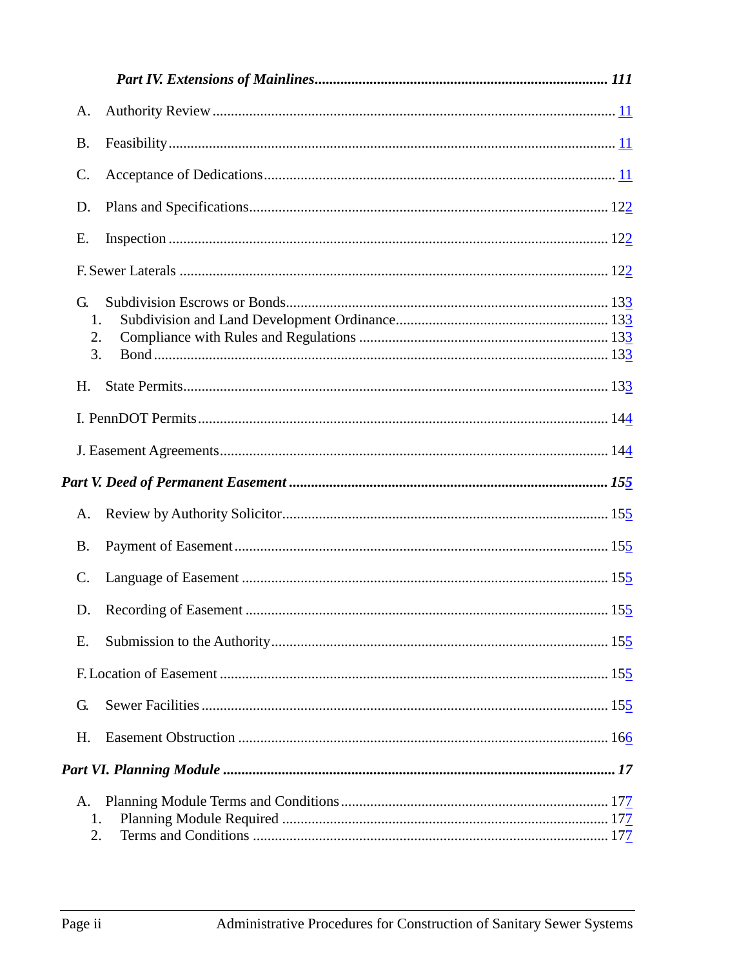| A.                   |  |
|----------------------|--|
| <b>B.</b>            |  |
| $\mathcal{C}$ .      |  |
| D.                   |  |
| Ε.                   |  |
|                      |  |
| G.<br>1.<br>2.<br>3. |  |
| H.                   |  |
|                      |  |
|                      |  |
|                      |  |
| A.                   |  |
| <b>B.</b>            |  |
| $\mathcal{C}$ .      |  |
| D.                   |  |
| Ε.                   |  |
|                      |  |
| G.                   |  |
| H.                   |  |
|                      |  |
| A.<br>1.<br>2.       |  |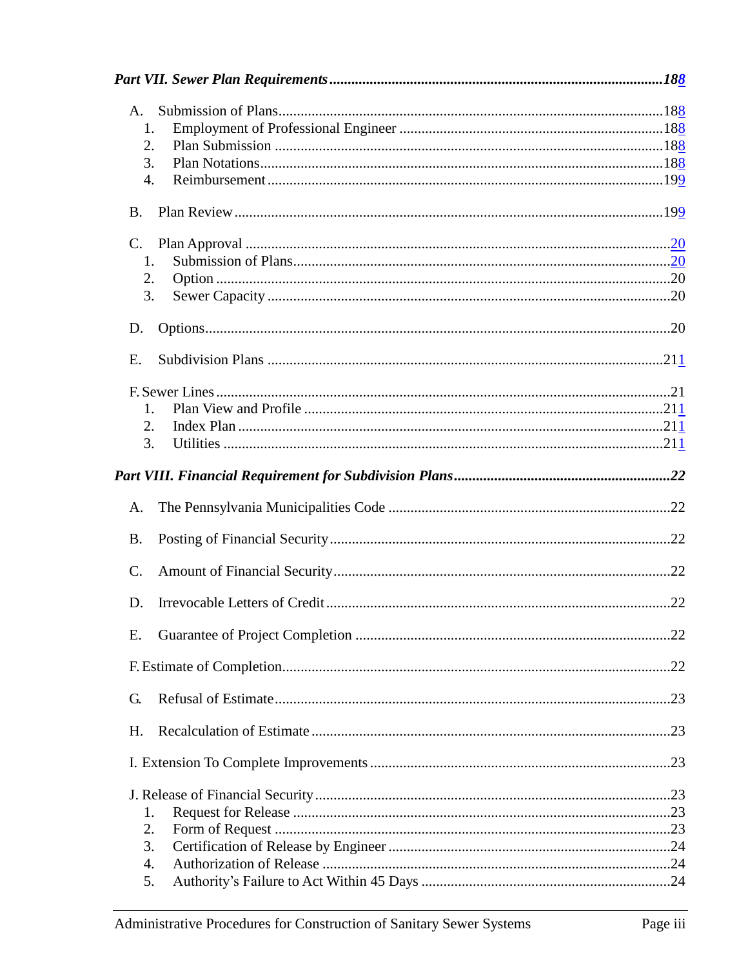| A.        |  |
|-----------|--|
| 1.        |  |
| 2.        |  |
| 3.        |  |
| 4.        |  |
| <b>B.</b> |  |
| C.        |  |
| 1.        |  |
| 2.        |  |
| 3.        |  |
| D.        |  |
| E.        |  |
|           |  |
| 1.        |  |
| 2.        |  |
| 3.        |  |
|           |  |
| A.        |  |
| <b>B.</b> |  |
| C.        |  |
| D.        |  |
| Е.        |  |
|           |  |
| G.        |  |
| Η.        |  |
|           |  |
|           |  |
| 1.        |  |
| 2.        |  |
| 3.        |  |
| 4.        |  |
| 5.        |  |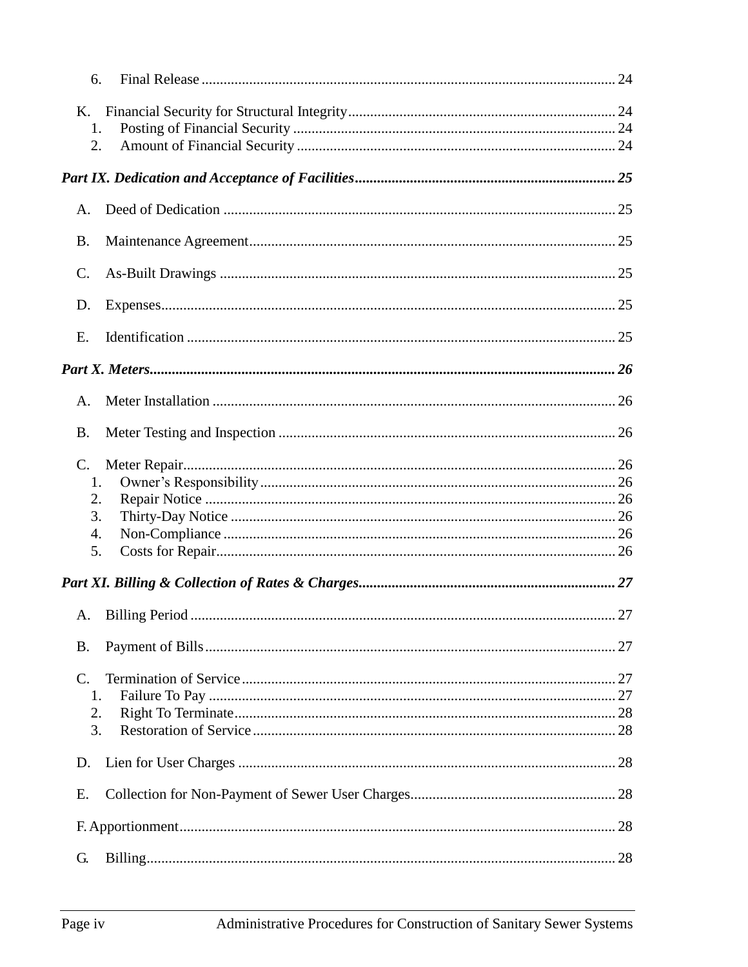|                 | 6.                |    |
|-----------------|-------------------|----|
| K.              |                   |    |
|                 | 1.                |    |
|                 | 2.                |    |
|                 |                   |    |
| Α.              |                   |    |
| <b>B.</b>       |                   |    |
| C.              |                   |    |
| D.              |                   |    |
| E.              |                   |    |
|                 |                   |    |
| Α.              |                   |    |
| Β.              |                   |    |
| $\mathcal{C}$ . |                   |    |
|                 | 1.                |    |
|                 | 2.                |    |
|                 | 3.                |    |
|                 | 4.                |    |
|                 | 5.                |    |
|                 |                   |    |
|                 | A. Billing Period | 27 |
| <b>B.</b>       |                   |    |
| C.              |                   |    |
|                 | 1.                |    |
|                 | 2.                |    |
|                 | 3.                |    |
| D.              |                   |    |
| Е.              |                   |    |
|                 |                   |    |
| G.              |                   |    |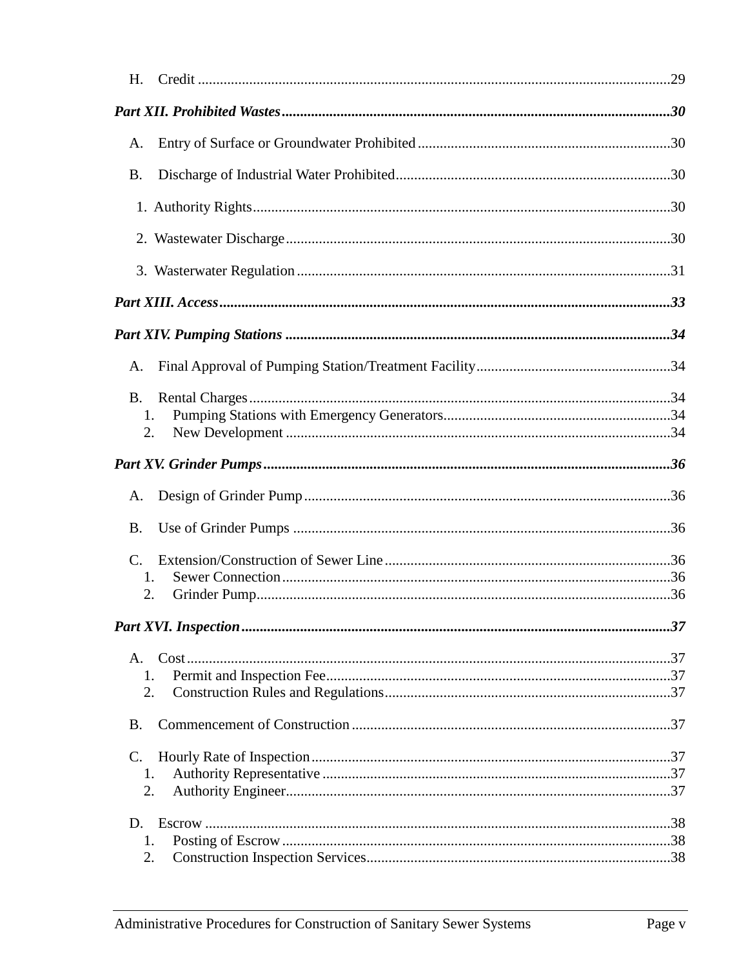| H.             |  |
|----------------|--|
|                |  |
| A.             |  |
| <b>B.</b>      |  |
|                |  |
|                |  |
|                |  |
|                |  |
|                |  |
| Α.             |  |
| <b>B.</b>      |  |
| 1.<br>2.       |  |
|                |  |
|                |  |
| A.             |  |
| B.             |  |
|                |  |
| $\mathbf{1}$   |  |
| 2.             |  |
|                |  |
| A.             |  |
| 1.<br>2.       |  |
|                |  |
| Β.             |  |
| $\mathbf{C}$ . |  |
| 1.<br>2.       |  |
|                |  |
| D.<br>1.       |  |
| 2.             |  |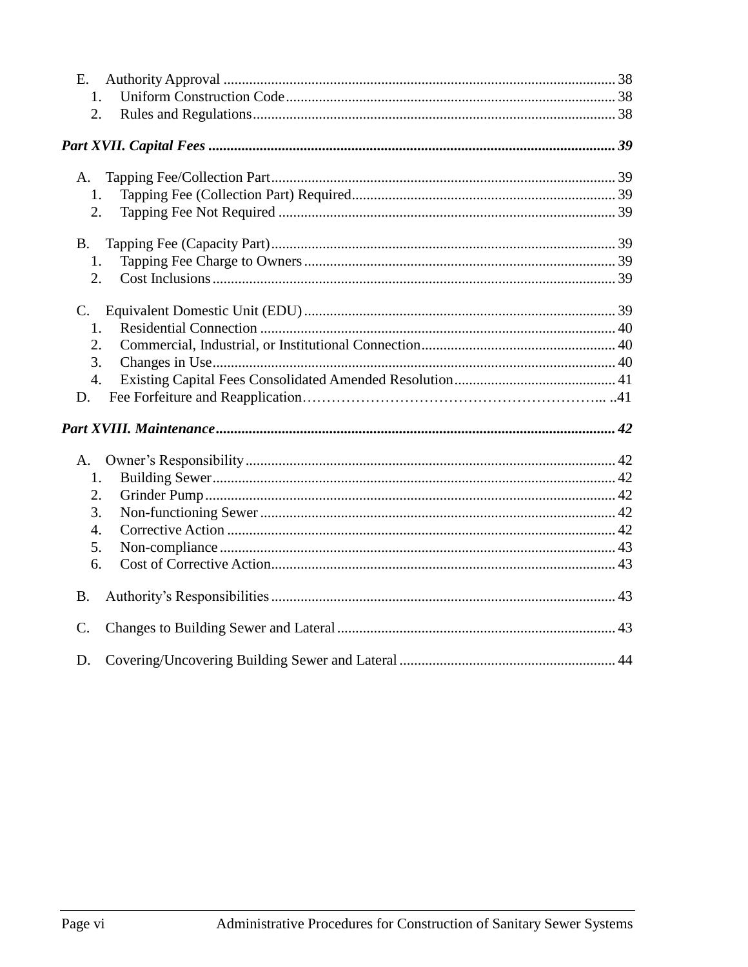| E.              |  |
|-----------------|--|
| 1.              |  |
| 2.              |  |
|                 |  |
| A.              |  |
| 1.              |  |
| 2.              |  |
| <b>B.</b>       |  |
| 1.              |  |
| 2.              |  |
|                 |  |
| 1.              |  |
| 2.              |  |
| 3.              |  |
| 4.              |  |
| D.              |  |
|                 |  |
| A.              |  |
| 1.              |  |
| 2.              |  |
| 3.              |  |
| 4.              |  |
| 5.              |  |
| 6.              |  |
| <b>B.</b>       |  |
| $\mathcal{C}$ . |  |
| D.              |  |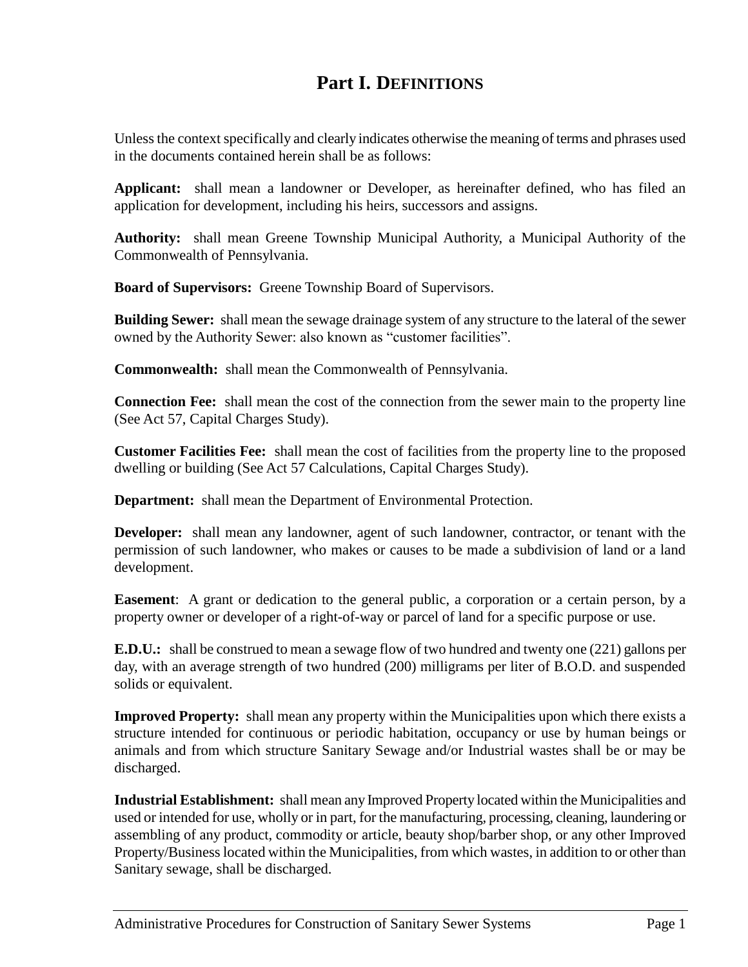## **Part I. DEFINITIONS**

<span id="page-8-0"></span>Unless the context specifically and clearly indicates otherwise the meaning of terms and phrases used in the documents contained herein shall be as follows:

**Applicant:** shall mean a landowner or Developer, as hereinafter defined, who has filed an application for development, including his heirs, successors and assigns.

**Authority:** shall mean Greene Township Municipal Authority, a Municipal Authority of the Commonwealth of Pennsylvania.

**Board of Supervisors:** Greene Township Board of Supervisors.

**Building Sewer:** shall mean the sewage drainage system of any structure to the lateral of the sewer owned by the Authority Sewer: also known as "customer facilities".

**Commonwealth:** shall mean the Commonwealth of Pennsylvania.

**Connection Fee:** shall mean the cost of the connection from the sewer main to the property line (See Act 57, Capital Charges Study).

**Customer Facilities Fee:** shall mean the cost of facilities from the property line to the proposed dwelling or building (See Act 57 Calculations, Capital Charges Study).

**Department:** shall mean the Department of Environmental Protection.

**Developer:** shall mean any landowner, agent of such landowner, contractor, or tenant with the permission of such landowner, who makes or causes to be made a subdivision of land or a land development.

**Easement**: A grant or dedication to the general public, a corporation or a certain person, by a property owner or developer of a right-of-way or parcel of land for a specific purpose or use.

**E.D.U.:** shall be construed to mean a sewage flow of two hundred and twenty one (221) gallons per day, with an average strength of two hundred (200) milligrams per liter of B.O.D. and suspended solids or equivalent.

**Improved Property:** shall mean any property within the Municipalities upon which there exists a structure intended for continuous or periodic habitation, occupancy or use by human beings or animals and from which structure Sanitary Sewage and/or Industrial wastes shall be or may be discharged.

**Industrial Establishment:** shall mean any Improved Property located within the Municipalities and used or intended for use, wholly or in part, for the manufacturing, processing, cleaning, laundering or assembling of any product, commodity or article, beauty shop/barber shop, or any other Improved Property/Business located within the Municipalities, from which wastes, in addition to or other than Sanitary sewage, shall be discharged.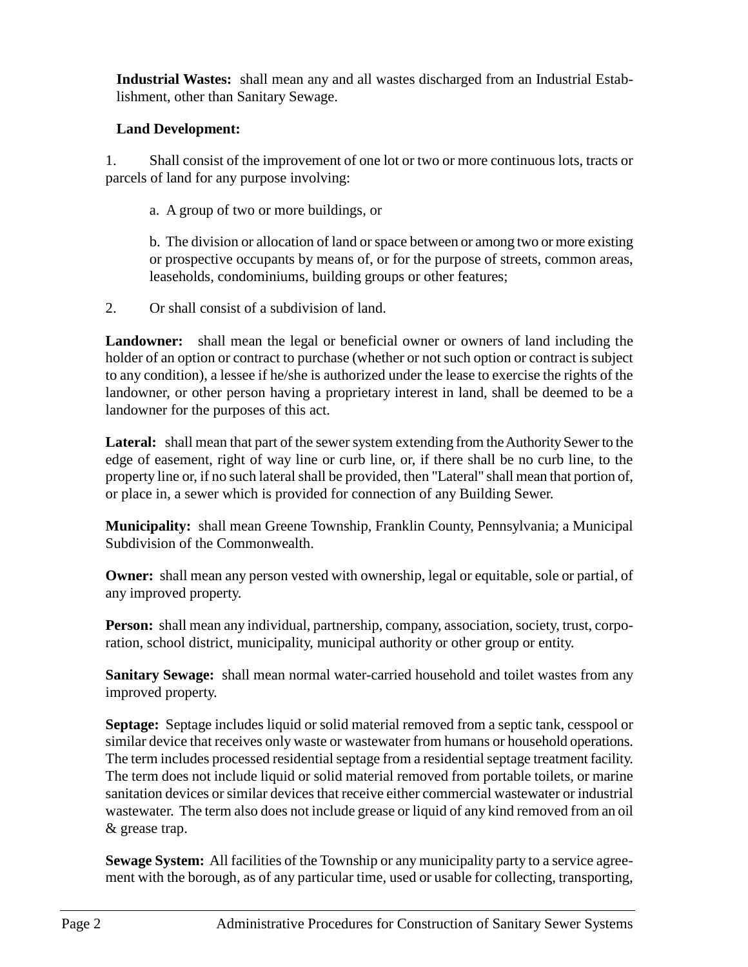**Industrial Wastes:** shall mean any and all wastes discharged from an Industrial Establishment, other than Sanitary Sewage.

## **Land Development:**

1. Shall consist of the improvement of one lot or two or more continuous lots, tracts or parcels of land for any purpose involving:

a. A group of two or more buildings, or

b. The division or allocation of land or space between or among two or more existing or prospective occupants by means of, or for the purpose of streets, common areas, leaseholds, condominiums, building groups or other features;

2. Or shall consist of a subdivision of land.

**Landowner:** shall mean the legal or beneficial owner or owners of land including the holder of an option or contract to purchase (whether or not such option or contract is subject to any condition), a lessee if he/she is authorized under the lease to exercise the rights of the landowner, or other person having a proprietary interest in land, shall be deemed to be a landowner for the purposes of this act.

**Lateral:** shall mean that part of the sewer system extending from the Authority Sewer to the edge of easement, right of way line or curb line, or, if there shall be no curb line, to the property line or, if no such lateral shall be provided, then "Lateral" shall mean that portion of, or place in, a sewer which is provided for connection of any Building Sewer.

**Municipality:** shall mean Greene Township, Franklin County, Pennsylvania; a Municipal Subdivision of the Commonwealth.

**Owner:** shall mean any person vested with ownership, legal or equitable, sole or partial, of any improved property.

**Person:** shall mean any individual, partnership, company, association, society, trust, corporation, school district, municipality, municipal authority or other group or entity.

**Sanitary Sewage:** shall mean normal water-carried household and toilet wastes from any improved property.

**Septage:** Septage includes liquid or solid material removed from a septic tank, cesspool or similar device that receives only waste or wastewater from humans or household operations. The term includes processed residential septage from a residential septage treatment facility. The term does not include liquid or solid material removed from portable toilets, or marine sanitation devices or similar devices that receive either commercial wastewater or industrial wastewater. The term also does not include grease or liquid of any kind removed from an oil & grease trap.

**Sewage System:** All facilities of the Township or any municipality party to a service agreement with the borough, as of any particular time, used or usable for collecting, transporting,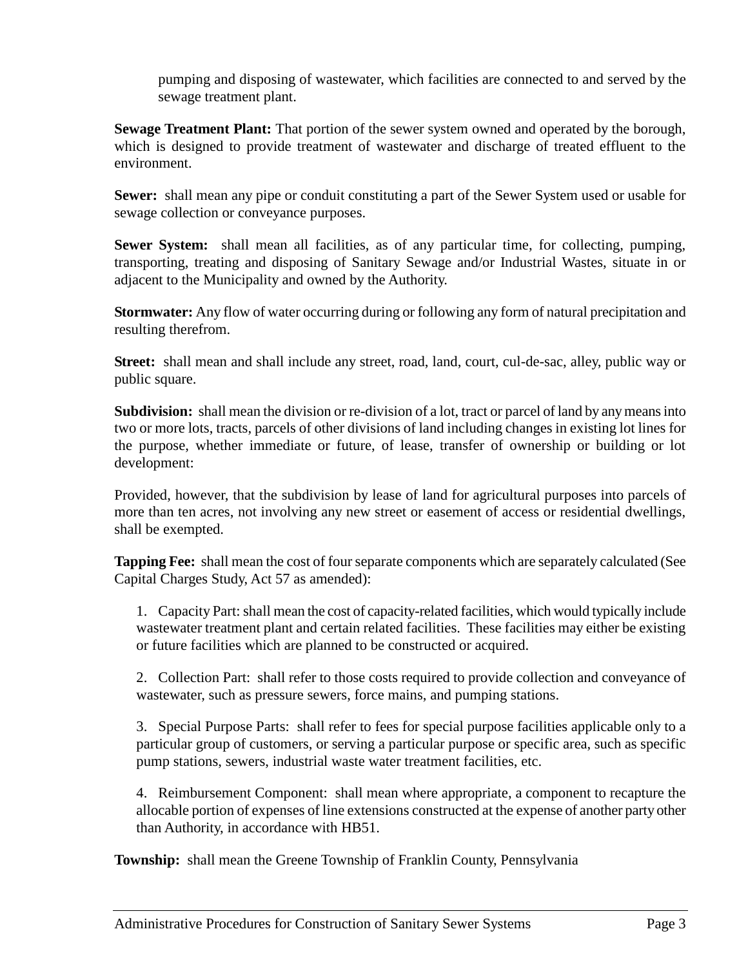pumping and disposing of wastewater, which facilities are connected to and served by the sewage treatment plant.

**Sewage Treatment Plant:** That portion of the sewer system owned and operated by the borough, which is designed to provide treatment of wastewater and discharge of treated effluent to the environment.

**Sewer:** shall mean any pipe or conduit constituting a part of the Sewer System used or usable for sewage collection or conveyance purposes.

**Sewer System:** shall mean all facilities, as of any particular time, for collecting, pumping, transporting, treating and disposing of Sanitary Sewage and/or Industrial Wastes, situate in or adjacent to the Municipality and owned by the Authority.

**Stormwater:** Any flow of water occurring during or following any form of natural precipitation and resulting therefrom.

**Street:** shall mean and shall include any street, road, land, court, cul-de-sac, alley, public way or public square.

**Subdivision:** shall mean the division or re-division of a lot, tract or parcel of land by any means into two or more lots, tracts, parcels of other divisions of land including changes in existing lot lines for the purpose, whether immediate or future, of lease, transfer of ownership or building or lot development:

Provided, however, that the subdivision by lease of land for agricultural purposes into parcels of more than ten acres, not involving any new street or easement of access or residential dwellings, shall be exempted.

**Tapping Fee:** shall mean the cost of four separate components which are separately calculated (See Capital Charges Study, Act 57 as amended):

1. Capacity Part: shall mean the cost of capacity-related facilities, which would typically include wastewater treatment plant and certain related facilities. These facilities may either be existing or future facilities which are planned to be constructed or acquired.

2. Collection Part: shall refer to those costs required to provide collection and conveyance of wastewater, such as pressure sewers, force mains, and pumping stations.

3. Special Purpose Parts: shall refer to fees for special purpose facilities applicable only to a particular group of customers, or serving a particular purpose or specific area, such as specific pump stations, sewers, industrial waste water treatment facilities, etc.

4. Reimbursement Component: shall mean where appropriate, a component to recapture the allocable portion of expenses of line extensions constructed at the expense of another party other than Authority, in accordance with HB51.

**Township:** shall mean the Greene Township of Franklin County, Pennsylvania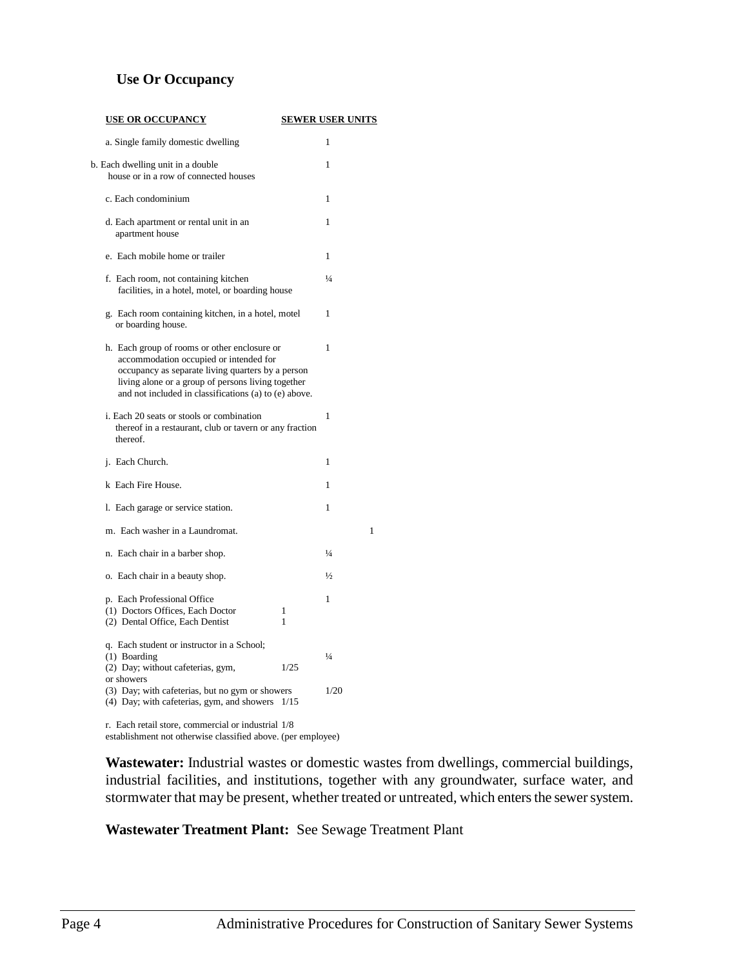## **Use Or Occupancy**

| <u>USE OR OCCUPANCY</u>                                                                                                                                                                                                                                    |        | <b>SEWER USER UNITS</b> |
|------------------------------------------------------------------------------------------------------------------------------------------------------------------------------------------------------------------------------------------------------------|--------|-------------------------|
| a. Single family domestic dwelling                                                                                                                                                                                                                         |        | 1                       |
| b. Each dwelling unit in a double<br>house or in a row of connected houses                                                                                                                                                                                 |        | 1                       |
| c. Each condominium                                                                                                                                                                                                                                        |        | 1                       |
| d. Each apartment or rental unit in an<br>apartment house                                                                                                                                                                                                  |        | 1                       |
| e. Each mobile home or trailer                                                                                                                                                                                                                             |        | 1                       |
| f. Each room, not containing kitchen<br>facilities, in a hotel, motel, or boarding house                                                                                                                                                                   |        | $\frac{1}{4}$           |
| g. Each room containing kitchen, in a hotel, motel<br>or boarding house.                                                                                                                                                                                   |        | 1                       |
| h. Each group of rooms or other enclosure or<br>accommodation occupied or intended for<br>occupancy as separate living quarters by a person<br>living alone or a group of persons living together<br>and not included in classifications (a) to (e) above. |        | 1                       |
| i. Each 20 seats or stools or combination<br>thereof in a restaurant, club or tavern or any fraction<br>thereof.                                                                                                                                           |        | $\mathbf{1}$            |
| j. Each Church.                                                                                                                                                                                                                                            |        | 1                       |
| k Each Fire House.                                                                                                                                                                                                                                         |        | 1                       |
| 1. Each garage or service station.                                                                                                                                                                                                                         |        | 1                       |
| m. Each washer in a Laundromat.                                                                                                                                                                                                                            |        | 1                       |
| n. Each chair in a barber shop.                                                                                                                                                                                                                            |        | $\frac{1}{4}$           |
| o. Each chair in a beauty shop.                                                                                                                                                                                                                            |        | $\frac{1}{2}$           |
| p. Each Professional Office<br>(1) Doctors Offices, Each Doctor<br>(2) Dental Office, Each Dentist                                                                                                                                                         | 1<br>1 | 1                       |
| q. Each student or instructor in a School;<br>(1) Boarding<br>(2) Day; without cafeterias, gym,                                                                                                                                                            | 1/2.5  | $\frac{1}{4}$           |
| or showers<br>(3) Day; with cafeterias, but no gym or showers<br>(4) Day; with cafeterias, gym, and showers                                                                                                                                                | 1/15   | 1/20                    |
| r. Each retail store, commercial or industrial $1/8$                                                                                                                                                                                                       |        |                         |

establishment not otherwise classified above. (per employee)

**Wastewater:** Industrial wastes or domestic wastes from dwellings, commercial buildings, industrial facilities, and institutions, together with any groundwater, surface water, and stormwater that may be present, whether treated or untreated, which enters the sewer system.

**Wastewater Treatment Plant:** See Sewage Treatment Plant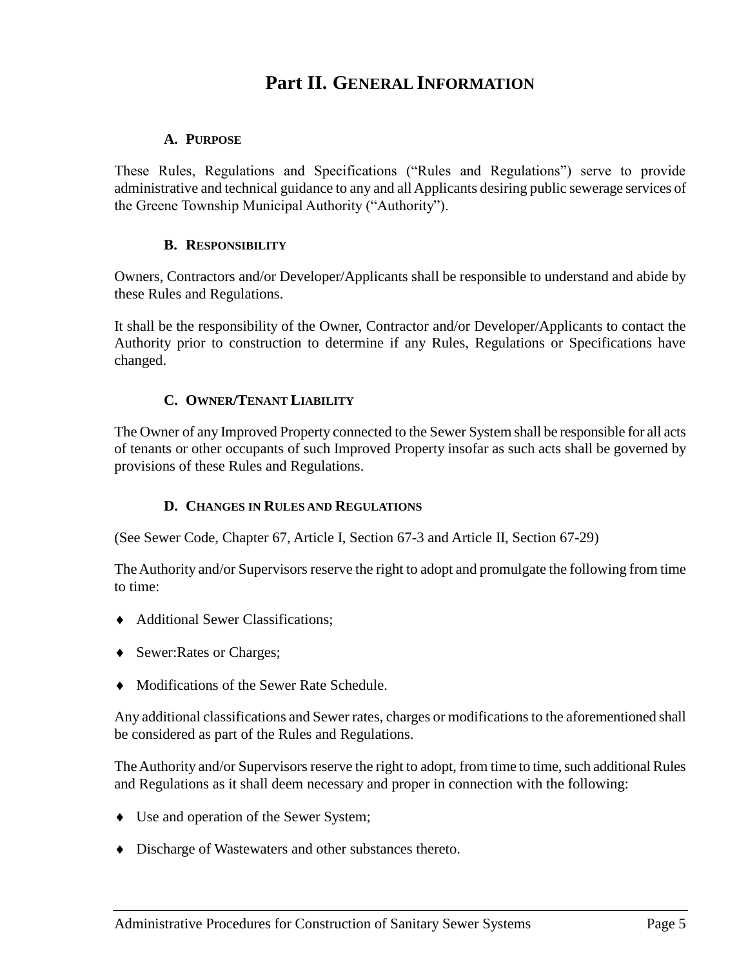## **Part II. GENERAL INFORMATION**

## <span id="page-12-0"></span>**A. PURPOSE**

<span id="page-12-1"></span>These Rules, Regulations and Specifications ("Rules and Regulations") serve to provide administrative and technical guidance to any and all Applicants desiring public sewerage services of the Greene Township Municipal Authority ("Authority").

## **B. RESPONSIBILITY**

<span id="page-12-2"></span>Owners, Contractors and/or Developer/Applicants shall be responsible to understand and abide by these Rules and Regulations.

It shall be the responsibility of the Owner, Contractor and/or Developer/Applicants to contact the Authority prior to construction to determine if any Rules, Regulations or Specifications have changed.

## **C. OWNER/TENANT LIABILITY**

<span id="page-12-3"></span>The Owner of any Improved Property connected to the Sewer System shall be responsible for all acts of tenants or other occupants of such Improved Property insofar as such acts shall be governed by provisions of these Rules and Regulations.

## **D. CHANGES IN RULES AND REGULATIONS**

<span id="page-12-4"></span>(See Sewer Code, Chapter 67, Article I, Section 67-3 and Article II, Section 67-29)

The Authority and/or Supervisors reserve the right to adopt and promulgate the following from time to time:

- Additional Sewer Classifications;
- ◆ Sewer:Rates or Charges;
- Modifications of the Sewer Rate Schedule.

Any additional classifications and Sewer rates, charges or modifications to the aforementioned shall be considered as part of the Rules and Regulations.

The Authority and/or Supervisors reserve the right to adopt, from time to time, such additional Rules and Regulations as it shall deem necessary and proper in connection with the following:

- Use and operation of the Sewer System;
- Discharge of Wastewaters and other substances thereto.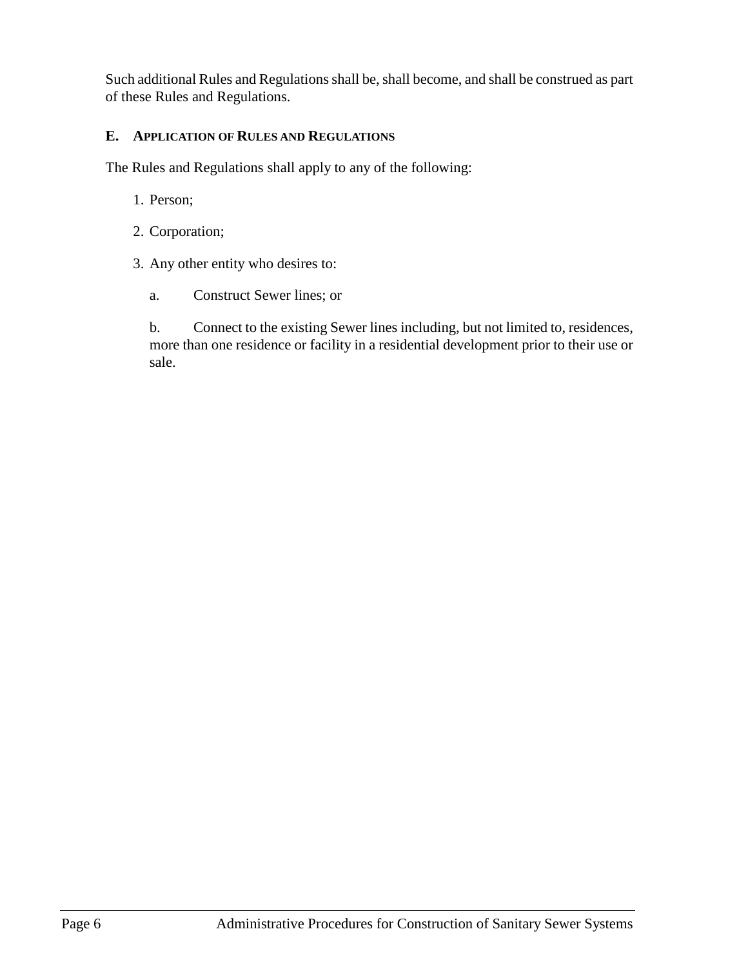Such additional Rules and Regulations shall be, shall become, and shall be construed as part of these Rules and Regulations.

## <span id="page-13-0"></span>**E. APPLICATION OF RULES AND REGULATIONS**

The Rules and Regulations shall apply to any of the following:

- 1. Person;
- 2. Corporation;
- 3. Any other entity who desires to:
	- a. Construct Sewer lines; or

b. Connect to the existing Sewer lines including, but not limited to, residences, more than one residence or facility in a residential development prior to their use or sale.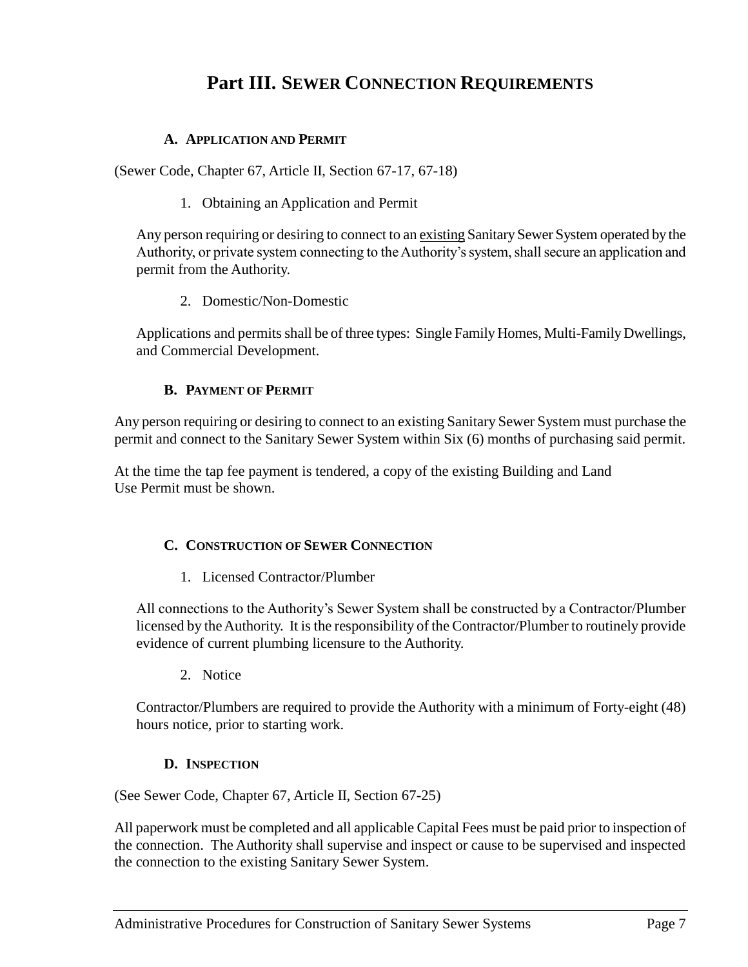## **Part III. SEWER CONNECTION REQUIREMENTS**

## <span id="page-14-0"></span>**A. APPLICATION AND PERMIT**

<span id="page-14-2"></span><span id="page-14-1"></span>(Sewer Code, Chapter 67, Article II, Section 67-17, 67-18)

1. Obtaining an Application and Permit

Any person requiring or desiring to connect to an existing Sanitary Sewer System operated by the Authority, or private system connecting to the Authority's system, shall secure an application and permit from the Authority.

2. Domestic/Non-Domestic

<span id="page-14-3"></span>Applications and permits shall be of three types: Single Family Homes, Multi-Family Dwellings, and Commercial Development.

## **B. PAYMENT OF PERMIT**

<span id="page-14-4"></span>Any person requiring or desiring to connect to an existing Sanitary Sewer System must purchase the permit and connect to the Sanitary Sewer System within Six (6) months of purchasing said permit.

At the time the tap fee payment is tendered, a copy of the existing Building and Land Use Permit must be shown.

## <span id="page-14-5"></span>**C. CONSTRUCTION OF SEWER CONNECTION**

1. Licensed Contractor/Plumber

<span id="page-14-6"></span>All connections to the Authority's Sewer System shall be constructed by a Contractor/Plumber licensed by the Authority. It is the responsibility of the Contractor/Plumber to routinely provide evidence of current plumbing licensure to the Authority.

2. Notice

<span id="page-14-7"></span>Contractor/Plumbers are required to provide the Authority with a minimum of Forty-eight (48) hours notice, prior to starting work.

## **D. INSPECTION**

<span id="page-14-8"></span>(See Sewer Code, Chapter 67, Article II, Section 67-25)

All paperwork must be completed and all applicable Capital Fees must be paid prior to inspection of the connection. The Authority shall supervise and inspect or cause to be supervised and inspected the connection to the existing Sanitary Sewer System.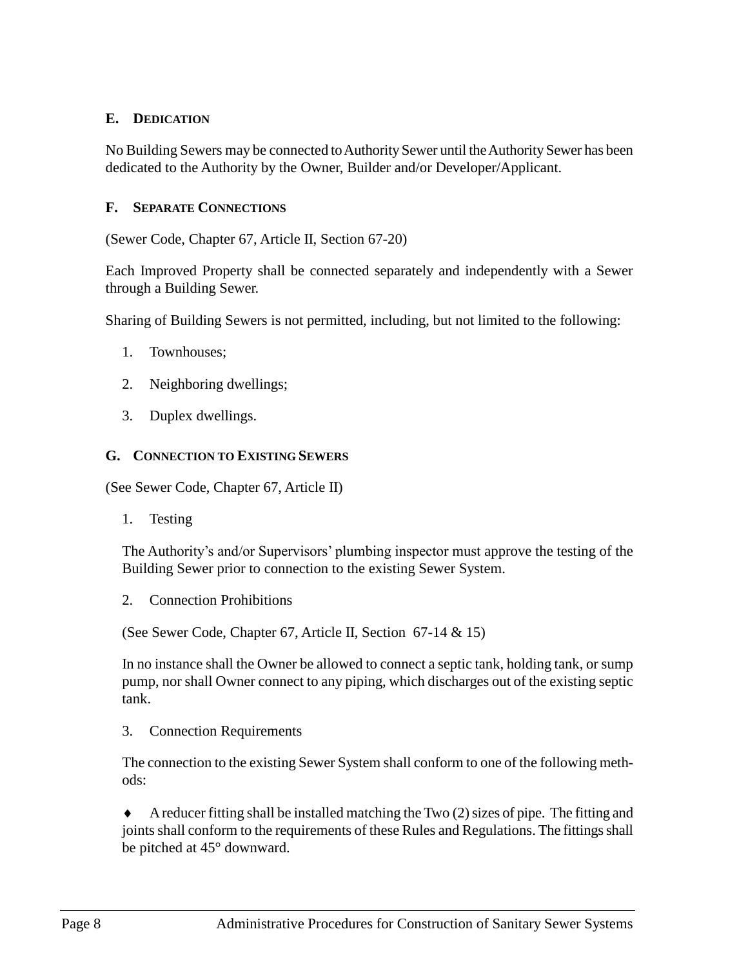## <span id="page-15-0"></span>**E. DEDICATION**

No Building Sewers may be connected to Authority Sewer until the Authority Sewer has been dedicated to the Authority by the Owner, Builder and/or Developer/Applicant.

#### <span id="page-15-1"></span>**F. SEPARATE CONNECTIONS**

(Sewer Code, Chapter 67, Article II, Section 67-20)

Each Improved Property shall be connected separately and independently with a Sewer through a Building Sewer.

Sharing of Building Sewers is not permitted, including, but not limited to the following:

- 1. Townhouses;
- 2. Neighboring dwellings;
- 3. Duplex dwellings.

#### <span id="page-15-2"></span>**G. CONNECTION TO EXISTING SEWERS**

<span id="page-15-3"></span>(See Sewer Code, Chapter 67, Article II)

1. Testing

The Authority's and/or Supervisors' plumbing inspector must approve the testing of the Building Sewer prior to connection to the existing Sewer System.

<span id="page-15-4"></span>2. Connection Prohibitions

(See Sewer Code, Chapter 67, Article II, Section 67-14 & 15)

In no instance shall the Owner be allowed to connect a septic tank, holding tank, or sump pump, nor shall Owner connect to any piping, which discharges out of the existing septic tank.

<span id="page-15-5"></span>3. Connection Requirements

The connection to the existing Sewer System shall conform to one of the following methods:

 A reducer fitting shall be installed matching the Two (2) sizes of pipe. The fitting and joints shall conform to the requirements of these Rules and Regulations. The fittings shall be pitched at 45° downward.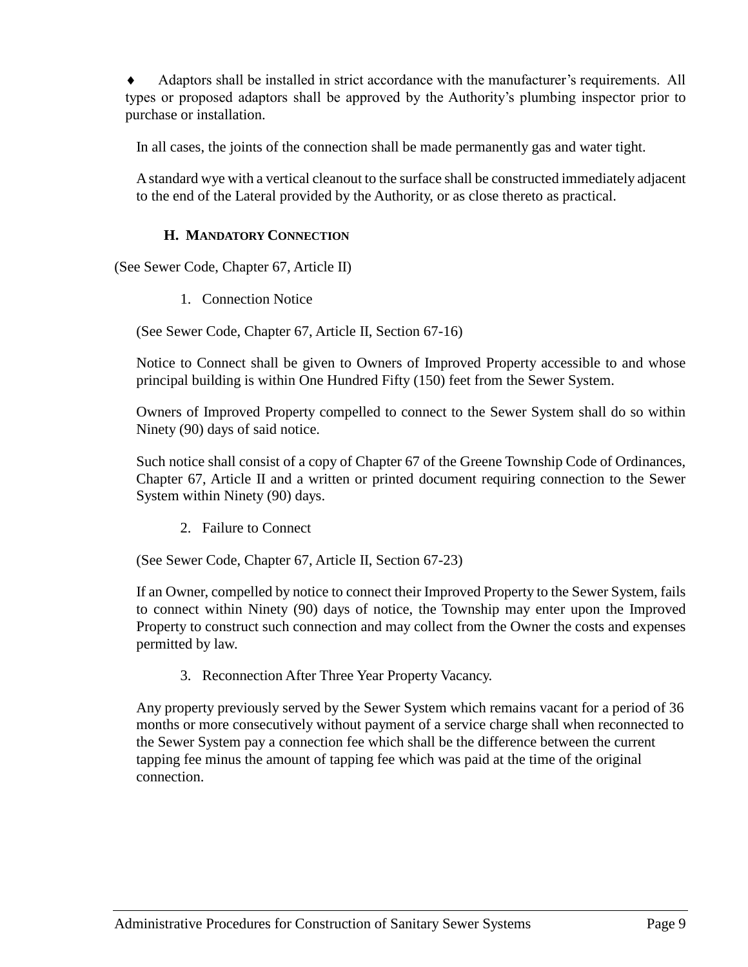Adaptors shall be installed in strict accordance with the manufacturer's requirements. All types or proposed adaptors shall be approved by the Authority's plumbing inspector prior to purchase or installation.

In all cases, the joints of the connection shall be made permanently gas and water tight.

A standard wye with a vertical cleanout to the surface shall be constructed immediately adjacent to the end of the Lateral provided by the Authority, or as close thereto as practical.

## **H. MANDATORY CONNECTION**

<span id="page-16-1"></span><span id="page-16-0"></span>(See Sewer Code, Chapter 67, Article II)

1. Connection Notice

(See Sewer Code, Chapter 67, Article II, Section 67-16)

Notice to Connect shall be given to Owners of Improved Property accessible to and whose principal building is within One Hundred Fifty (150) feet from the Sewer System.

Owners of Improved Property compelled to connect to the Sewer System shall do so within Ninety (90) days of said notice.

Such notice shall consist of a copy of Chapter 67 of the Greene Township Code of Ordinances, Chapter 67, Article II and a written or printed document requiring connection to the Sewer System within Ninety (90) days.

2. Failure to Connect

<span id="page-16-2"></span>(See Sewer Code, Chapter 67, Article II, Section 67-23)

If an Owner, compelled by notice to connect their Improved Property to the Sewer System, fails to connect within Ninety (90) days of notice, the Township may enter upon the Improved Property to construct such connection and may collect from the Owner the costs and expenses permitted by law.

3. Reconnection After Three Year Property Vacancy.

Any property previously served by the Sewer System which remains vacant for a period of 36 months or more consecutively without payment of a service charge shall when reconnected to the Sewer System pay a connection fee which shall be the difference between the current tapping fee minus the amount of tapping fee which was paid at the time of the original connection.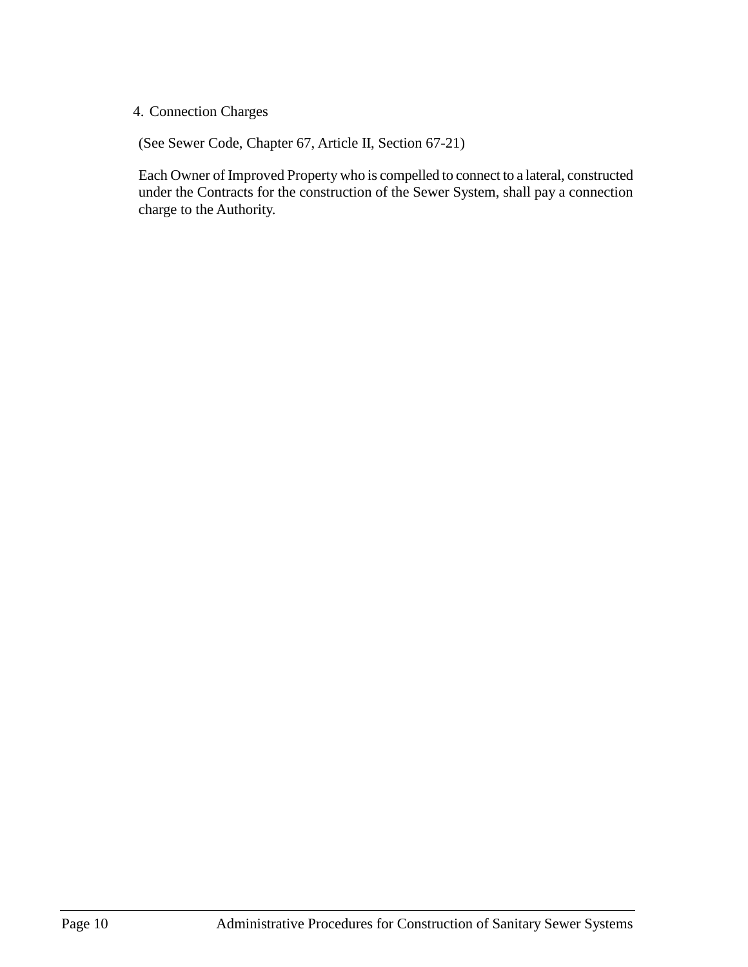## 4. Connection Charges

(See Sewer Code, Chapter 67, Article II, Section 67-21)

Each Owner of Improved Property who is compelled to connect to a lateral, constructed under the Contracts for the construction of the Sewer System, shall pay a connection charge to the Authority.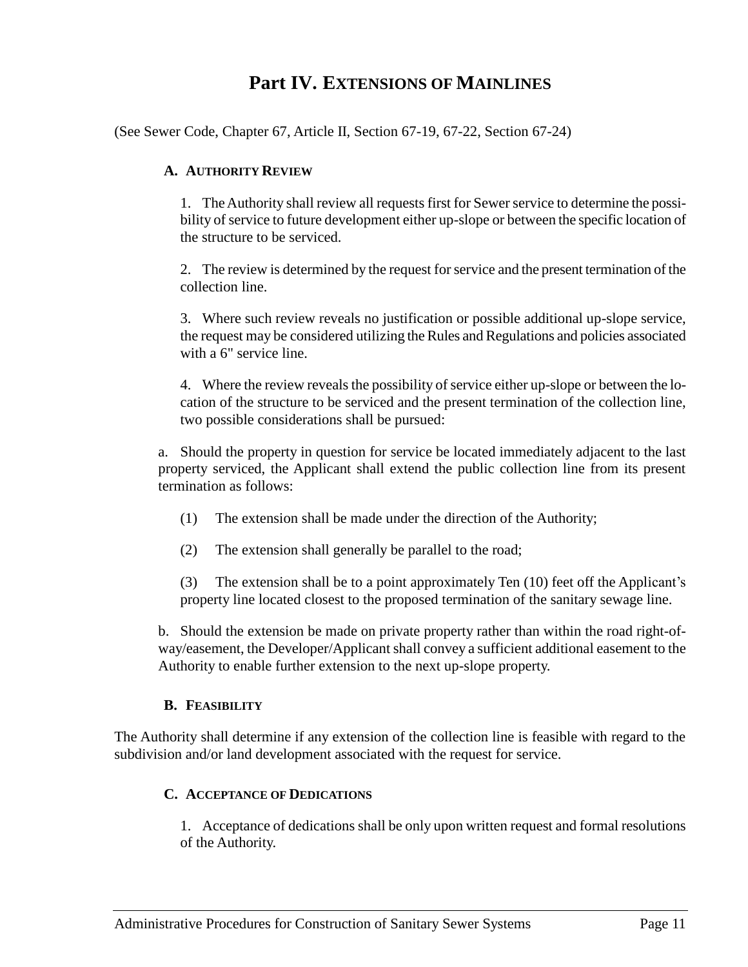## **Part IV. EXTENSIONS OF MAINLINES**

<span id="page-18-1"></span><span id="page-18-0"></span>(See Sewer Code, Chapter 67, Article II, Section 67-19, 67-22, Section 67-24)

#### **A. AUTHORITY REVIEW**

1. The Authority shall review all requests first for Sewer service to determine the possibility of service to future development either up-slope or between the specific location of the structure to be serviced.

2. The review is determined by the request for service and the present termination of the collection line.

3. Where such review reveals no justification or possible additional up-slope service, the request may be considered utilizing the Rules and Regulations and policies associated with a 6" service line.

4. Where the review reveals the possibility of service either up-slope or between the location of the structure to be serviced and the present termination of the collection line, two possible considerations shall be pursued:

a. Should the property in question for service be located immediately adjacent to the last property serviced, the Applicant shall extend the public collection line from its present termination as follows:

- (1) The extension shall be made under the direction of the Authority;
- (2) The extension shall generally be parallel to the road;

(3) The extension shall be to a point approximately Ten (10) feet off the Applicant's property line located closest to the proposed termination of the sanitary sewage line.

b. Should the extension be made on private property rather than within the road right-ofway/easement, the Developer/Applicant shall convey a sufficient additional easement to the Authority to enable further extension to the next up-slope property.

## **B. FEASIBILITY**

<span id="page-18-3"></span><span id="page-18-2"></span>The Authority shall determine if any extension of the collection line is feasible with regard to the subdivision and/or land development associated with the request for service.

## **C. ACCEPTANCE OF DEDICATIONS**

1. Acceptance of dedications shall be only upon written request and formal resolutions of the Authority.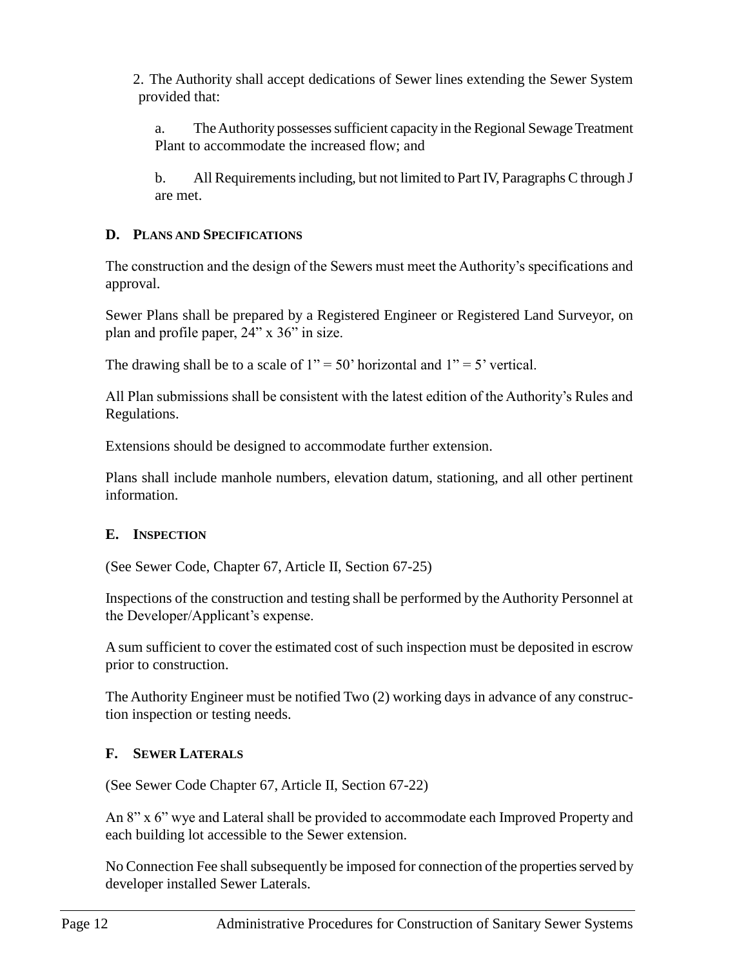2. The Authority shall accept dedications of Sewer lines extending the Sewer System provided that:

a. The Authority possesses sufficient capacity in the Regional Sewage Treatment Plant to accommodate the increased flow; and

b. All Requirements including, but not limited to Part IV, Paragraphs C through J are met.

## <span id="page-19-0"></span>**D. PLANS AND SPECIFICATIONS**

The construction and the design of the Sewers must meet the Authority's specifications and approval.

Sewer Plans shall be prepared by a Registered Engineer or Registered Land Surveyor, on plan and profile paper, 24" x 36" in size.

The drawing shall be to a scale of  $1" = 50'$  horizontal and  $1" = 5'$  vertical.

All Plan submissions shall be consistent with the latest edition of the Authority's Rules and Regulations.

Extensions should be designed to accommodate further extension.

Plans shall include manhole numbers, elevation datum, stationing, and all other pertinent information.

## <span id="page-19-1"></span>**E. INSPECTION**

(See Sewer Code, Chapter 67, Article II, Section 67-25)

Inspections of the construction and testing shall be performed by the Authority Personnel at the Developer/Applicant's expense.

A sum sufficient to cover the estimated cost of such inspection must be deposited in escrow prior to construction.

The Authority Engineer must be notified Two (2) working days in advance of any construction inspection or testing needs.

## <span id="page-19-2"></span>**F. SEWER LATERALS**

(See Sewer Code Chapter 67, Article II, Section 67-22)

An 8" x 6" wye and Lateral shall be provided to accommodate each Improved Property and each building lot accessible to the Sewer extension.

No Connection Fee shall subsequently be imposed for connection of the properties served by developer installed Sewer Laterals.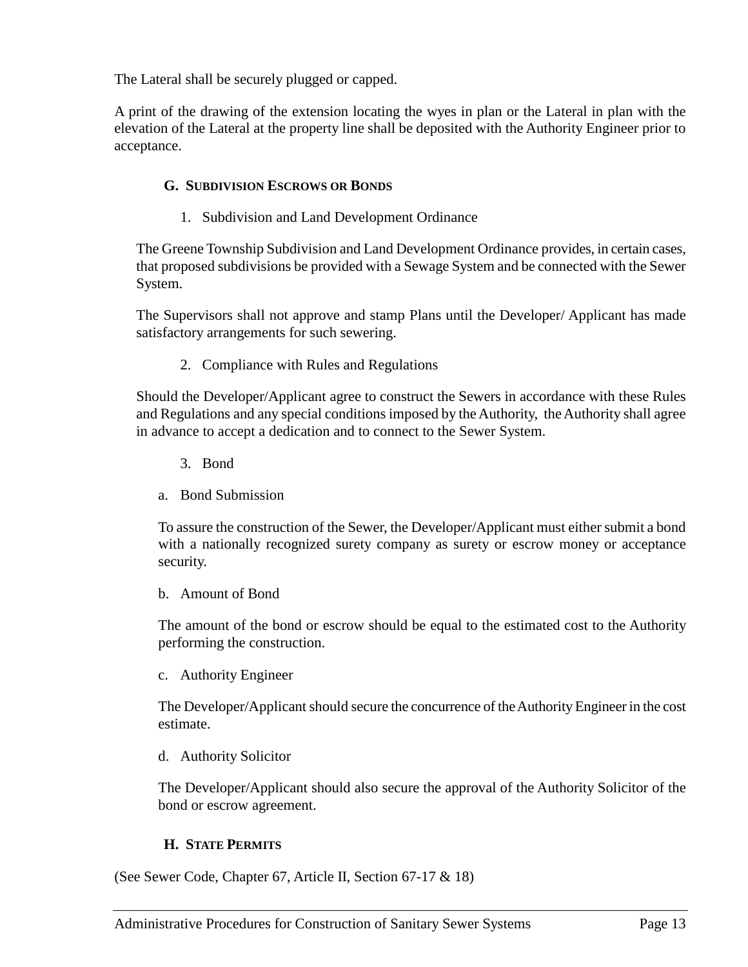The Lateral shall be securely plugged or capped.

A print of the drawing of the extension locating the wyes in plan or the Lateral in plan with the elevation of the Lateral at the property line shall be deposited with the Authority Engineer prior to acceptance.

## <span id="page-20-0"></span>**G. SUBDIVISION ESCROWS OR BONDS**

1. Subdivision and Land Development Ordinance

<span id="page-20-1"></span>The Greene Township Subdivision and Land Development Ordinance provides, in certain cases, that proposed subdivisions be provided with a Sewage System and be connected with the Sewer System.

The Supervisors shall not approve and stamp Plans until the Developer/ Applicant has made satisfactory arrangements for such sewering.

2. Compliance with Rules and Regulations

<span id="page-20-2"></span>Should the Developer/Applicant agree to construct the Sewers in accordance with these Rules and Regulations and any special conditions imposed by the Authority, the Authority shall agree in advance to accept a dedication and to connect to the Sewer System.

- 3. Bond
- <span id="page-20-3"></span>a. Bond Submission

To assure the construction of the Sewer, the Developer/Applicant must either submit a bond with a nationally recognized surety company as surety or escrow money or acceptance security.

b. Amount of Bond

The amount of the bond or escrow should be equal to the estimated cost to the Authority performing the construction.

c. Authority Engineer

The Developer/Applicant should secure the concurrence of the Authority Engineer in the cost estimate.

d. Authority Solicitor

The Developer/Applicant should also secure the approval of the Authority Solicitor of the bond or escrow agreement.

## **H. STATE PERMITS**

<span id="page-20-4"></span>(See Sewer Code, Chapter 67, Article II, Section 67-17 & 18)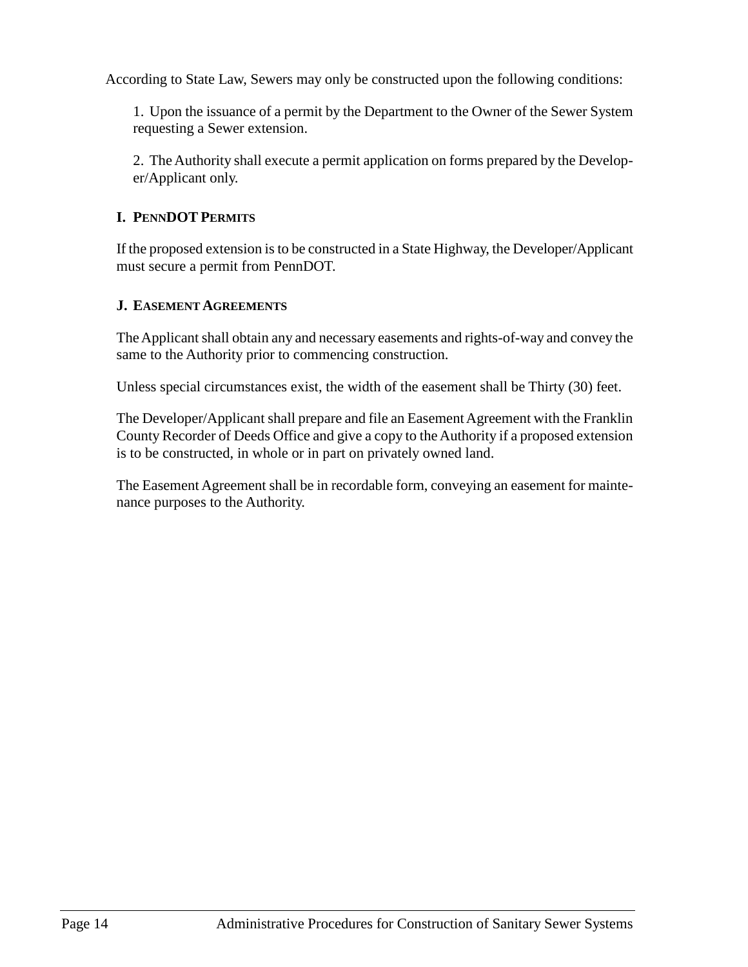According to State Law, Sewers may only be constructed upon the following conditions:

1. Upon the issuance of a permit by the Department to the Owner of the Sewer System requesting a Sewer extension.

2. The Authority shall execute a permit application on forms prepared by the Developer/Applicant only.

## <span id="page-21-0"></span>**I. PENNDOT PERMITS**

If the proposed extension is to be constructed in a State Highway, the Developer/Applicant must secure a permit from PennDOT.

## <span id="page-21-1"></span>**J. EASEMENT AGREEMENTS**

The Applicant shall obtain any and necessary easements and rights-of-way and convey the same to the Authority prior to commencing construction.

Unless special circumstances exist, the width of the easement shall be Thirty (30) feet.

The Developer/Applicant shall prepare and file an Easement Agreement with the Franklin County Recorder of Deeds Office and give a copy to the Authority if a proposed extension is to be constructed, in whole or in part on privately owned land.

The Easement Agreement shall be in recordable form, conveying an easement for maintenance purposes to the Authority.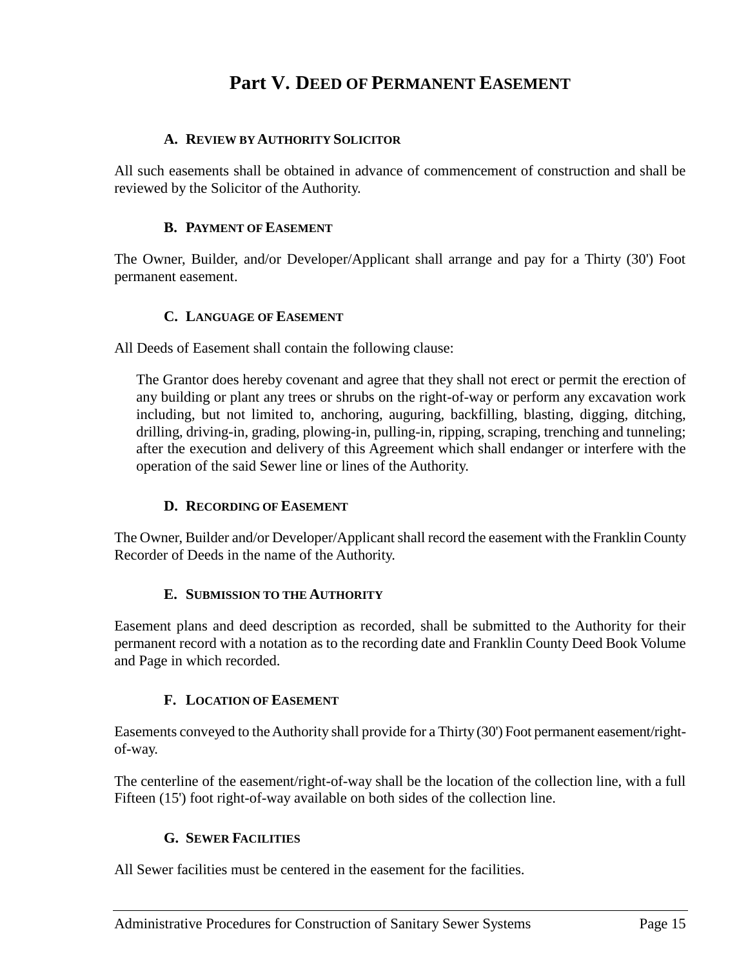## **Part V. DEED OF PERMANENT EASEMENT**

## <span id="page-22-0"></span>**A. REVIEW BY AUTHORITY SOLICITOR**

<span id="page-22-1"></span>All such easements shall be obtained in advance of commencement of construction and shall be reviewed by the Solicitor of the Authority.

#### **B. PAYMENT OF EASEMENT**

<span id="page-22-2"></span>The Owner, Builder, and/or Developer/Applicant shall arrange and pay for a Thirty (30') Foot permanent easement.

#### **C. LANGUAGE OF EASEMENT**

<span id="page-22-3"></span>All Deeds of Easement shall contain the following clause:

The Grantor does hereby covenant and agree that they shall not erect or permit the erection of any building or plant any trees or shrubs on the right-of-way or perform any excavation work including, but not limited to, anchoring, auguring, backfilling, blasting, digging, ditching, drilling, driving-in, grading, plowing-in, pulling-in, ripping, scraping, trenching and tunneling; after the execution and delivery of this Agreement which shall endanger or interfere with the operation of the said Sewer line or lines of the Authority.

## **D. RECORDING OF EASEMENT**

<span id="page-22-4"></span>The Owner, Builder and/or Developer/Applicant shall record the easement with the Franklin County Recorder of Deeds in the name of the Authority.

## **E. SUBMISSION TO THE AUTHORITY**

<span id="page-22-5"></span>Easement plans and deed description as recorded, shall be submitted to the Authority for their permanent record with a notation as to the recording date and Franklin County Deed Book Volume and Page in which recorded.

#### **F. LOCATION OF EASEMENT**

<span id="page-22-6"></span>Easements conveyed to the Authority shall provide for a Thirty (30') Foot permanent easement/rightof-way.

The centerline of the easement/right-of-way shall be the location of the collection line, with a full Fifteen (15') foot right-of-way available on both sides of the collection line.

#### **G. SEWER FACILITIES**

<span id="page-22-7"></span>All Sewer facilities must be centered in the easement for the facilities.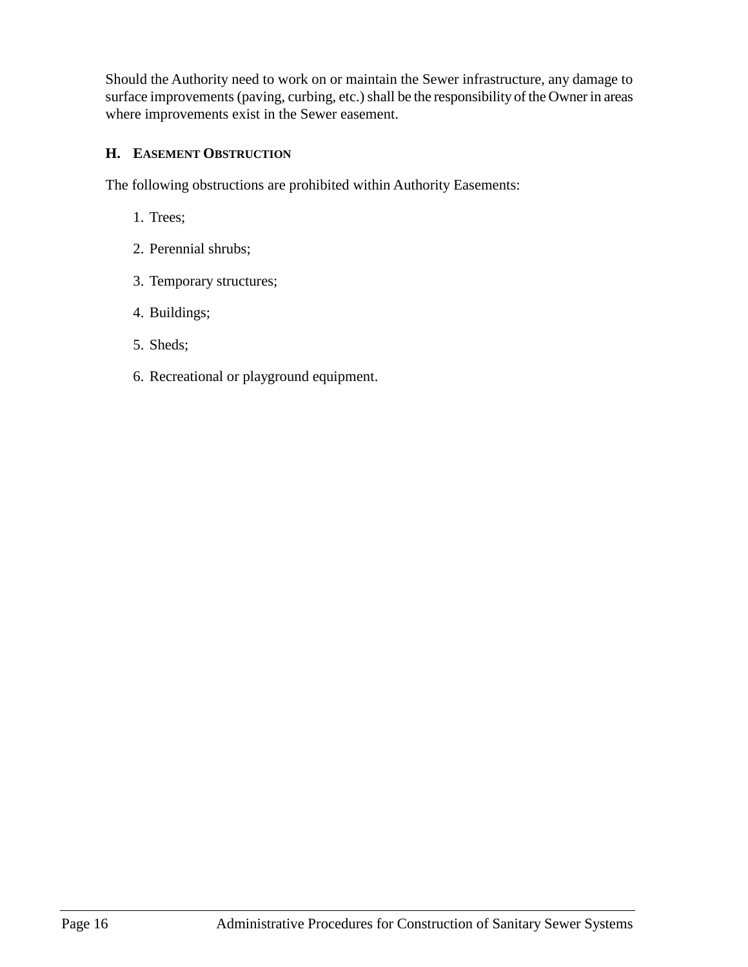Should the Authority need to work on or maintain the Sewer infrastructure, any damage to surface improvements (paving, curbing, etc.) shall be the responsibility of the Owner in areas where improvements exist in the Sewer easement.

## <span id="page-23-0"></span>**H. EASEMENT OBSTRUCTION**

The following obstructions are prohibited within Authority Easements:

- 1. Trees;
- 2. Perennial shrubs;
- 3. Temporary structures;
- 4. Buildings;
- 5. Sheds;
- 6. Recreational or playground equipment.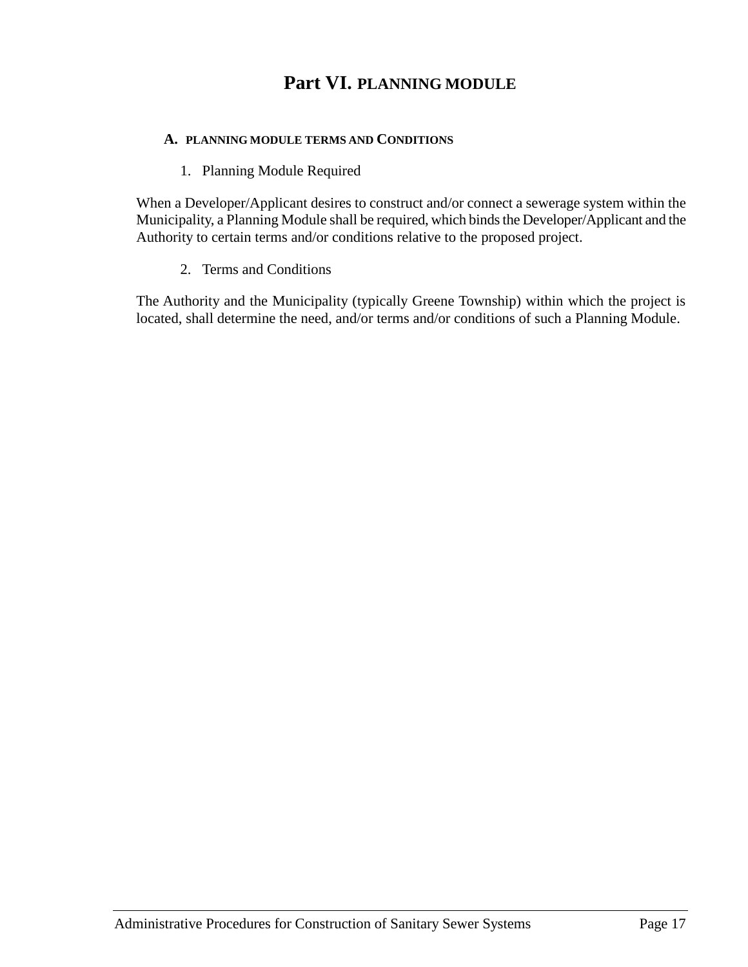## **Part VI. PLANNING MODULE**

#### <span id="page-24-0"></span>**A. PLANNING MODULE TERMS AND CONDITIONS**

#### 1. Planning Module Required

<span id="page-24-1"></span>When a Developer/Applicant desires to construct and/or connect a sewerage system within the Municipality, a Planning Module shall be required, which binds the Developer/Applicant and the Authority to certain terms and/or conditions relative to the proposed project.

2. Terms and Conditions

<span id="page-24-2"></span>The Authority and the Municipality (typically Greene Township) within which the project is located, shall determine the need, and/or terms and/or conditions of such a Planning Module.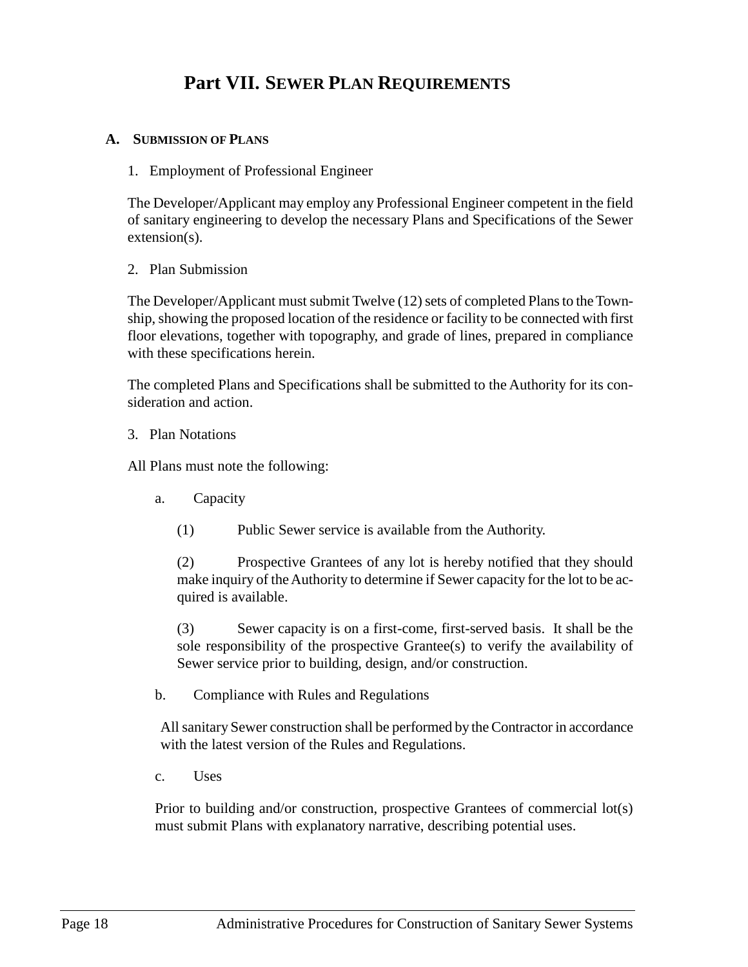## **Part VII. SEWER PLAN REQUIREMENTS**

#### <span id="page-25-2"></span><span id="page-25-1"></span><span id="page-25-0"></span>**A. SUBMISSION OF PLANS**

1. Employment of Professional Engineer

The Developer/Applicant may employ any Professional Engineer competent in the field of sanitary engineering to develop the necessary Plans and Specifications of the Sewer extension(s).

<span id="page-25-3"></span>2. Plan Submission

The Developer/Applicant must submit Twelve (12) sets of completed Plans to the Township, showing the proposed location of the residence or facility to be connected with first floor elevations, together with topography, and grade of lines, prepared in compliance with these specifications herein.

The completed Plans and Specifications shall be submitted to the Authority for its consideration and action.

#### <span id="page-25-4"></span>3. Plan Notations

All Plans must note the following:

- a. Capacity
	- (1) Public Sewer service is available from the Authority.

(2) Prospective Grantees of any lot is hereby notified that they should make inquiry of the Authority to determine if Sewer capacity for the lot to be acquired is available.

(3) Sewer capacity is on a first-come, first-served basis. It shall be the sole responsibility of the prospective Grantee(s) to verify the availability of Sewer service prior to building, design, and/or construction.

b. Compliance with Rules and Regulations

All sanitary Sewer construction shall be performed by the Contractor in accordance with the latest version of the Rules and Regulations.

c. Uses

Prior to building and/or construction, prospective Grantees of commercial lot(s) must submit Plans with explanatory narrative, describing potential uses.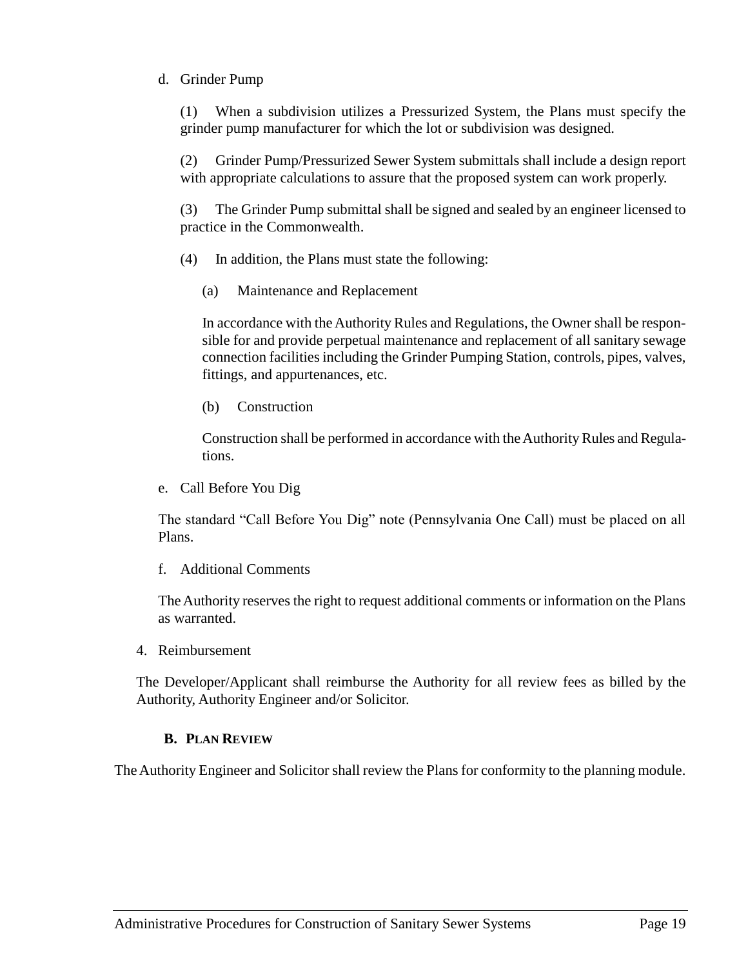## d. Grinder Pump

(1) When a subdivision utilizes a Pressurized System, the Plans must specify the grinder pump manufacturer for which the lot or subdivision was designed.

(2) Grinder Pump/Pressurized Sewer System submittals shall include a design report with appropriate calculations to assure that the proposed system can work properly.

(3) The Grinder Pump submittal shall be signed and sealed by an engineer licensed to practice in the Commonwealth.

- (4) In addition, the Plans must state the following:
	- (a) Maintenance and Replacement

In accordance with the Authority Rules and Regulations, the Owner shall be responsible for and provide perpetual maintenance and replacement of all sanitary sewage connection facilities including the Grinder Pumping Station, controls, pipes, valves, fittings, and appurtenances, etc.

(b) Construction

Construction shall be performed in accordance with the Authority Rules and Regulations.

e. Call Before You Dig

The standard "Call Before You Dig" note (Pennsylvania One Call) must be placed on all Plans.

f. Additional Comments

The Authority reserves the right to request additional comments or information on the Plans as warranted.

<span id="page-26-0"></span>4. Reimbursement

The Developer/Applicant shall reimburse the Authority for all review fees as billed by the Authority, Authority Engineer and/or Solicitor.

## **B. PLAN REVIEW**

<span id="page-26-1"></span>The Authority Engineer and Solicitor shall review the Plans for conformity to the planning module.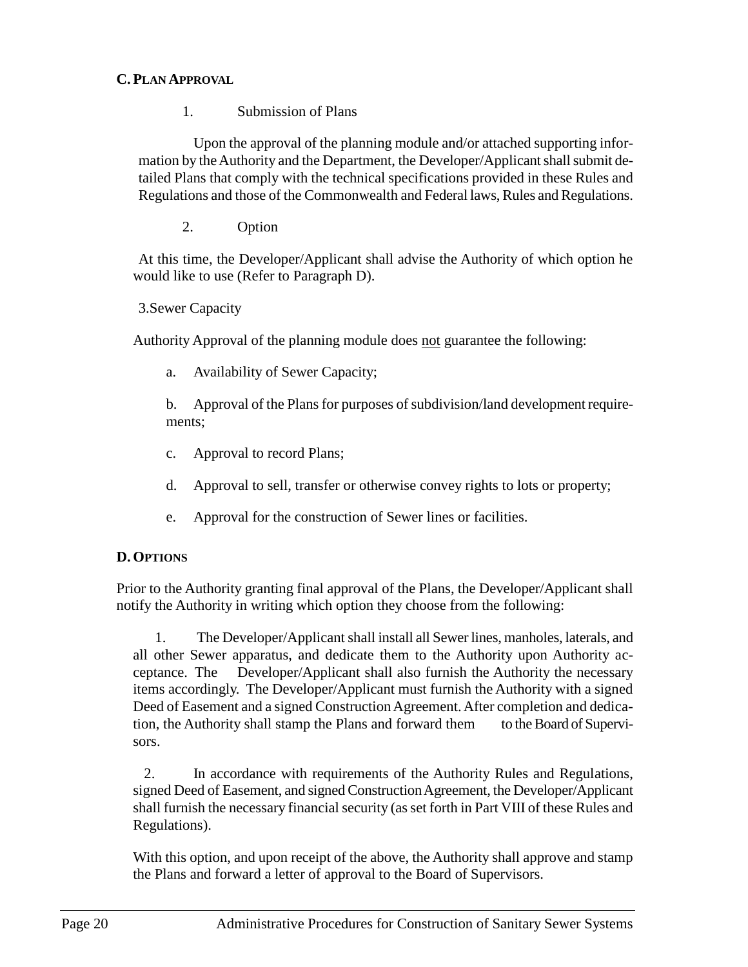## <span id="page-27-1"></span><span id="page-27-0"></span>**C. PLAN APPROVAL**

1. Submission of Plans

Upon the approval of the planning module and/or attached supporting information by the Authority and the Department, the Developer/Applicant shall submit detailed Plans that comply with the technical specifications provided in these Rules and Regulations and those of the Commonwealth and Federal laws, Rules and Regulations.

2. Option

<span id="page-27-2"></span>At this time, the Developer/Applicant shall advise the Authority of which option he would like to use (Refer to Paragraph D).

<span id="page-27-3"></span>3.Sewer Capacity

Authority Approval of the planning module does not guarantee the following:

a. Availability of Sewer Capacity;

b. Approval of the Plans for purposes of subdivision/land development requirements;

- c. Approval to record Plans;
- d. Approval to sell, transfer or otherwise convey rights to lots or property;
- e. Approval for the construction of Sewer lines or facilities.

## <span id="page-27-4"></span>**D. OPTIONS**

Prior to the Authority granting final approval of the Plans, the Developer/Applicant shall notify the Authority in writing which option they choose from the following:

1. The Developer/Applicant shall install all Sewer lines, manholes, laterals, and all other Sewer apparatus, and dedicate them to the Authority upon Authority acceptance. The Developer/Applicant shall also furnish the Authority the necessary items accordingly. The Developer/Applicant must furnish the Authority with a signed Deed of Easement and a signed Construction Agreement. After completion and dedication, the Authority shall stamp the Plans and forward them to the Board of Supervisors.

2. In accordance with requirements of the Authority Rules and Regulations, signed Deed of Easement, and signed Construction Agreement, the Developer/Applicant shall furnish the necessary financial security (as set forth in Part VIII of these Rules and Regulations).

With this option, and upon receipt of the above, the Authority shall approve and stamp the Plans and forward a letter of approval to the Board of Supervisors.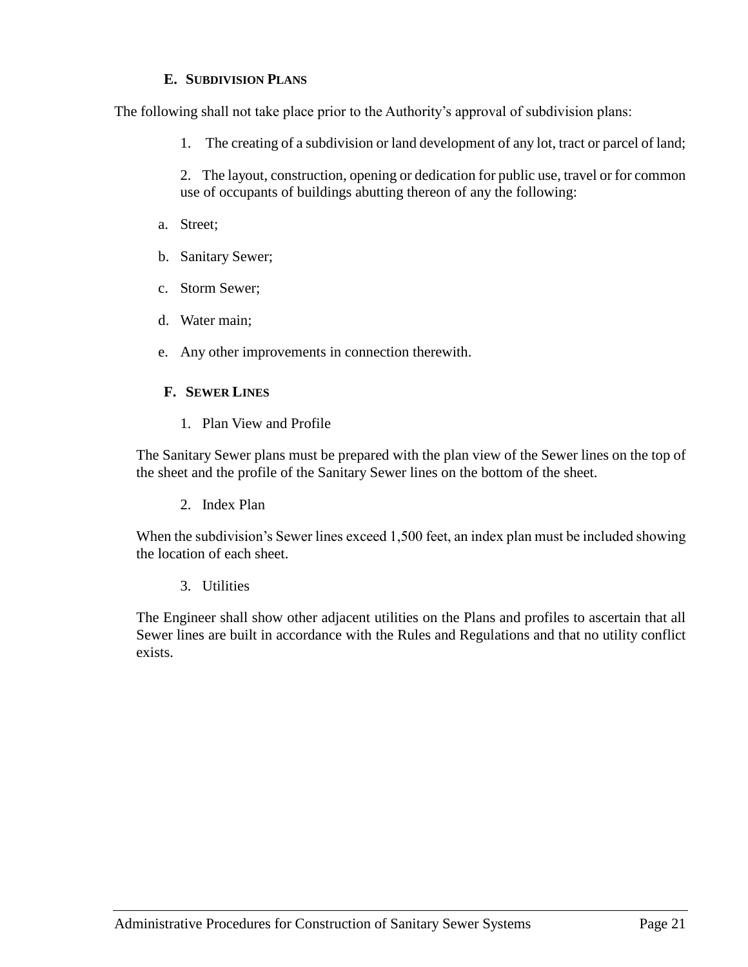## **E. SUBDIVISION PLANS**

<span id="page-28-0"></span>The following shall not take place prior to the Authority's approval of subdivision plans:

1. The creating of a subdivision or land development of any lot, tract or parcel of land;

2. The layout, construction, opening or dedication for public use, travel or for common use of occupants of buildings abutting thereon of any the following:

- a. Street;
- b. Sanitary Sewer;
- c. Storm Sewer;
- d. Water main;
- e. Any other improvements in connection therewith.

## <span id="page-28-1"></span>**F. SEWER LINES**

1. Plan View and Profile

<span id="page-28-2"></span>The Sanitary Sewer plans must be prepared with the plan view of the Sewer lines on the top of the sheet and the profile of the Sanitary Sewer lines on the bottom of the sheet.

2. Index Plan

<span id="page-28-3"></span>When the subdivision's Sewer lines exceed 1,500 feet, an index plan must be included showing the location of each sheet.

3. Utilities

<span id="page-28-4"></span>The Engineer shall show other adjacent utilities on the Plans and profiles to ascertain that all Sewer lines are built in accordance with the Rules and Regulations and that no utility conflict exists.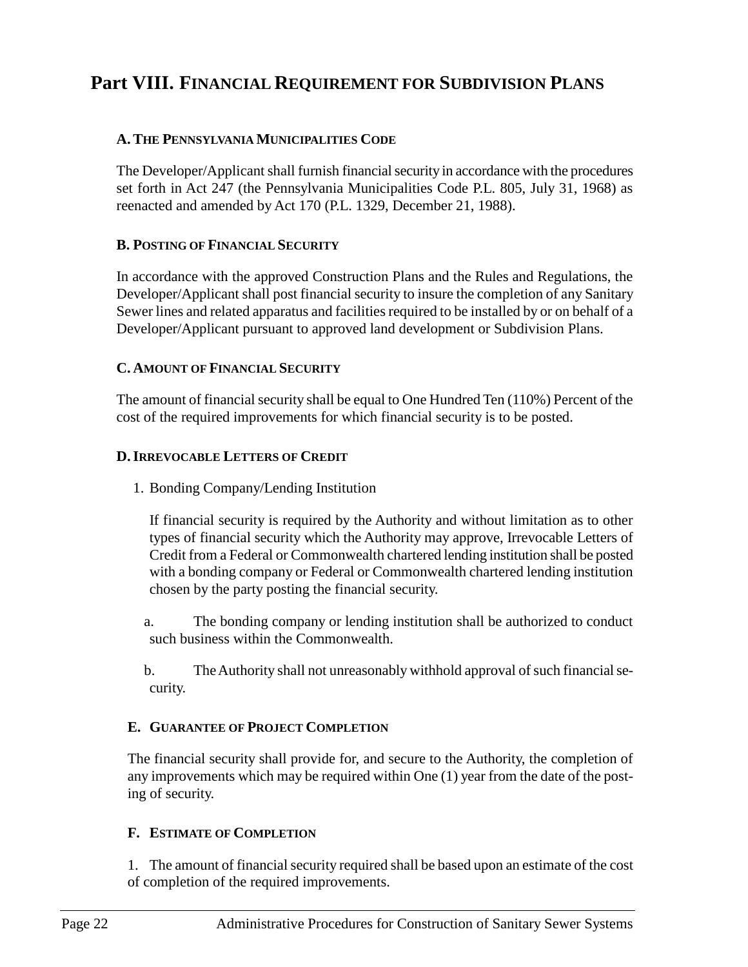## <span id="page-29-0"></span>**Part VIII. FINANCIAL REQUIREMENT FOR SUBDIVISION PLANS**

## <span id="page-29-1"></span>**A.THE PENNSYLVANIA MUNICIPALITIES CODE**

The Developer/Applicant shall furnish financial security in accordance with the procedures set forth in Act 247 (the Pennsylvania Municipalities Code P.L. 805, July 31, 1968) as reenacted and amended by Act 170 (P.L. 1329, December 21, 1988).

## <span id="page-29-2"></span>**B. POSTING OF FINANCIAL SECURITY**

In accordance with the approved Construction Plans and the Rules and Regulations, the Developer/Applicant shall post financial security to insure the completion of any Sanitary Sewer lines and related apparatus and facilities required to be installed by or on behalf of a Developer/Applicant pursuant to approved land development or Subdivision Plans.

#### <span id="page-29-3"></span>**C. AMOUNT OF FINANCIAL SECURITY**

The amount of financial security shall be equal to One Hundred Ten (110%) Percent of the cost of the required improvements for which financial security is to be posted.

## <span id="page-29-4"></span>**D.IRREVOCABLE LETTERS OF CREDIT**

1. Bonding Company/Lending Institution

If financial security is required by the Authority and without limitation as to other types of financial security which the Authority may approve, Irrevocable Letters of Credit from a Federal or Commonwealth chartered lending institution shall be posted with a bonding company or Federal or Commonwealth chartered lending institution chosen by the party posting the financial security.

a. The bonding company or lending institution shall be authorized to conduct such business within the Commonwealth.

b. The Authority shall not unreasonably withhold approval of such financial security.

## <span id="page-29-5"></span>**E. GUARANTEE OF PROJECT COMPLETION**

The financial security shall provide for, and secure to the Authority, the completion of any improvements which may be required within One (1) year from the date of the posting of security.

## <span id="page-29-6"></span>**F. ESTIMATE OF COMPLETION**

1. The amount of financial security required shall be based upon an estimate of the cost of completion of the required improvements.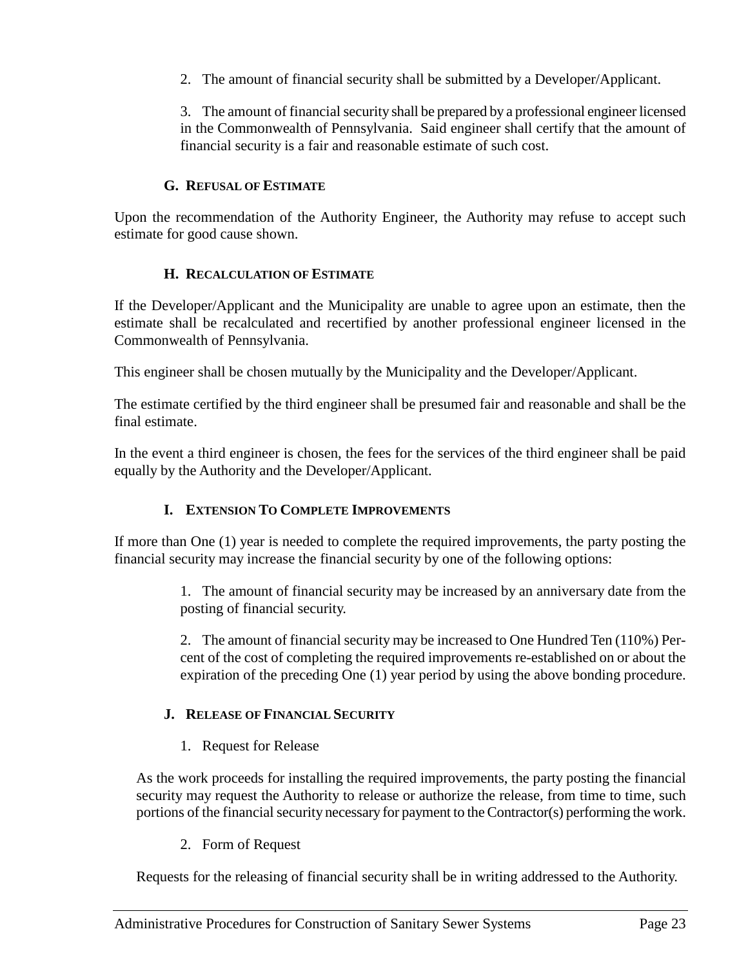2. The amount of financial security shall be submitted by a Developer/Applicant.

3. The amount of financial security shall be prepared by a professional engineer licensed in the Commonwealth of Pennsylvania. Said engineer shall certify that the amount of financial security is a fair and reasonable estimate of such cost.

## **G. REFUSAL OF ESTIMATE**

<span id="page-30-0"></span>Upon the recommendation of the Authority Engineer, the Authority may refuse to accept such estimate for good cause shown.

## **H. RECALCULATION OF ESTIMATE**

<span id="page-30-1"></span>If the Developer/Applicant and the Municipality are unable to agree upon an estimate, then the estimate shall be recalculated and recertified by another professional engineer licensed in the Commonwealth of Pennsylvania.

This engineer shall be chosen mutually by the Municipality and the Developer/Applicant.

The estimate certified by the third engineer shall be presumed fair and reasonable and shall be the final estimate.

In the event a third engineer is chosen, the fees for the services of the third engineer shall be paid equally by the Authority and the Developer/Applicant.

## **I. EXTENSION TO COMPLETE IMPROVEMENTS**

<span id="page-30-2"></span>If more than One (1) year is needed to complete the required improvements, the party posting the financial security may increase the financial security by one of the following options:

> 1. The amount of financial security may be increased by an anniversary date from the posting of financial security.

> 2. The amount of financial security may be increased to One Hundred Ten (110%) Percent of the cost of completing the required improvements re-established on or about the expiration of the preceding One (1) year period by using the above bonding procedure.

## <span id="page-30-3"></span>**J. RELEASE OF FINANCIAL SECURITY**

1. Request for Release

<span id="page-30-4"></span>As the work proceeds for installing the required improvements, the party posting the financial security may request the Authority to release or authorize the release, from time to time, such portions of the financial security necessary for payment to the Contractor(s) performing the work.

2. Form of Request

<span id="page-30-5"></span>Requests for the releasing of financial security shall be in writing addressed to the Authority.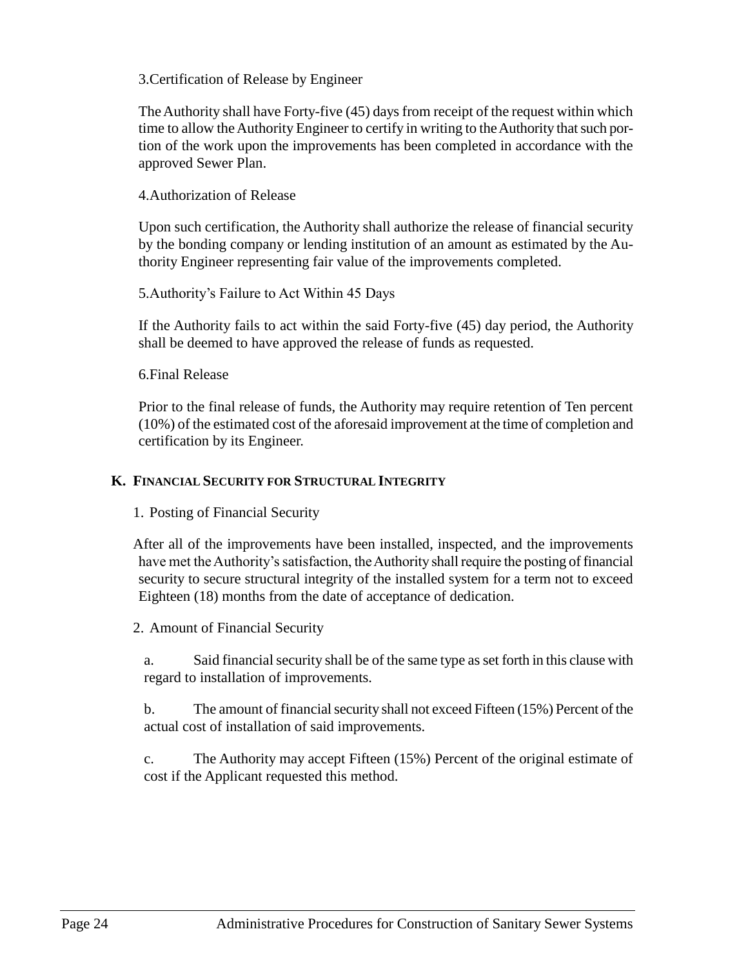## <span id="page-31-0"></span>3.Certification of Release by Engineer

The Authority shall have Forty-five (45) days from receipt of the request within which time to allow the Authority Engineer to certify in writing to the Authority that such portion of the work upon the improvements has been completed in accordance with the approved Sewer Plan.

#### <span id="page-31-1"></span>4.Authorization of Release

Upon such certification, the Authority shall authorize the release of financial security by the bonding company or lending institution of an amount as estimated by the Authority Engineer representing fair value of the improvements completed.

<span id="page-31-2"></span>5.Authority's Failure to Act Within 45 Days

If the Authority fails to act within the said Forty-five (45) day period, the Authority shall be deemed to have approved the release of funds as requested.

<span id="page-31-3"></span>6.Final Release

Prior to the final release of funds, the Authority may require retention of Ten percent (10%) of the estimated cost of the aforesaid improvement at the time of completion and certification by its Engineer.

## <span id="page-31-5"></span><span id="page-31-4"></span>**K. FINANCIAL SECURITY FOR STRUCTURAL INTEGRITY**

1. Posting of Financial Security

After all of the improvements have been installed, inspected, and the improvements have met the Authority's satisfaction, the Authority shall require the posting of financial security to secure structural integrity of the installed system for a term not to exceed Eighteen (18) months from the date of acceptance of dedication.

## <span id="page-31-6"></span>2. Amount of Financial Security

a. Said financial security shall be of the same type as set forth in this clause with regard to installation of improvements.

b. The amount of financial security shall not exceed Fifteen (15%) Percent of the actual cost of installation of said improvements.

c. The Authority may accept Fifteen (15%) Percent of the original estimate of cost if the Applicant requested this method.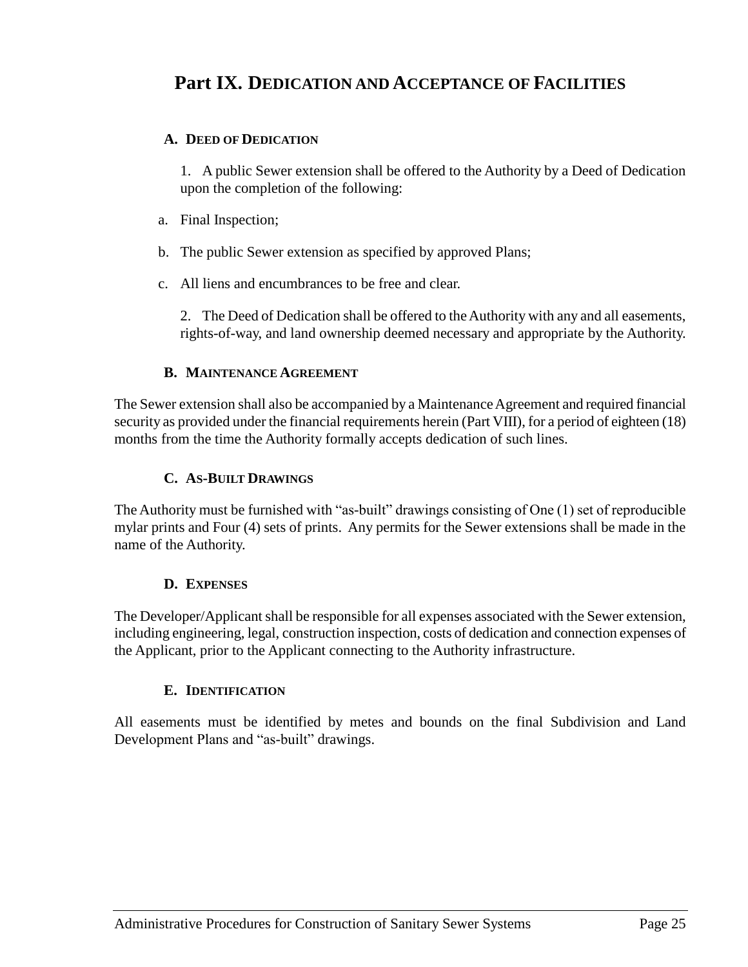## <span id="page-32-0"></span>**Part IX. DEDICATION AND ACCEPTANCE OF FACILITIES**

## <span id="page-32-1"></span>**A. DEED OF DEDICATION**

1. A public Sewer extension shall be offered to the Authority by a Deed of Dedication upon the completion of the following:

- a. Final Inspection;
- b. The public Sewer extension as specified by approved Plans;
- c. All liens and encumbrances to be free and clear.

2. The Deed of Dedication shall be offered to the Authority with any and all easements, rights-of-way, and land ownership deemed necessary and appropriate by the Authority.

## **B. MAINTENANCE AGREEMENT**

<span id="page-32-2"></span>The Sewer extension shall also be accompanied by a Maintenance Agreement and required financial security as provided under the financial requirements herein (Part VIII), for a period of eighteen (18) months from the time the Authority formally accepts dedication of such lines.

## **C. AS-BUILT DRAWINGS**

<span id="page-32-3"></span>The Authority must be furnished with "as-built" drawings consisting of One (1) set of reproducible mylar prints and Four (4) sets of prints. Any permits for the Sewer extensions shall be made in the name of the Authority.

## **D. EXPENSES**

<span id="page-32-4"></span>The Developer/Applicant shall be responsible for all expenses associated with the Sewer extension, including engineering, legal, construction inspection, costs of dedication and connection expenses of the Applicant, prior to the Applicant connecting to the Authority infrastructure.

## **E. IDENTIFICATION**

<span id="page-32-5"></span>All easements must be identified by metes and bounds on the final Subdivision and Land Development Plans and "as-built" drawings.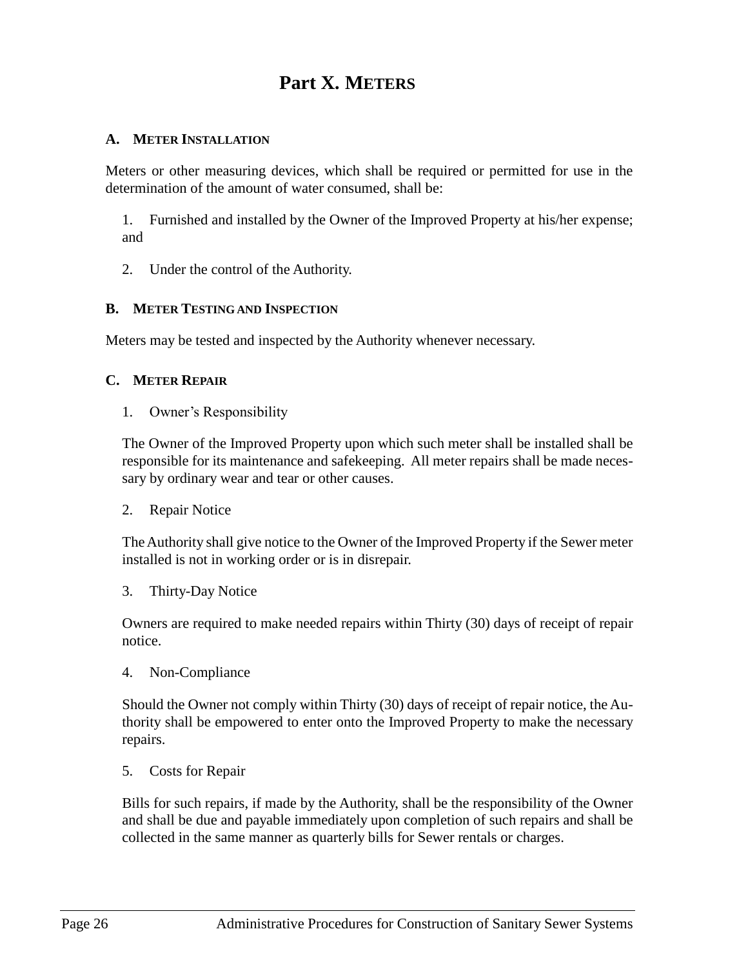## **Part X. METERS**

## <span id="page-33-1"></span><span id="page-33-0"></span>**A. METER INSTALLATION**

Meters or other measuring devices, which shall be required or permitted for use in the determination of the amount of water consumed, shall be:

1. Furnished and installed by the Owner of the Improved Property at his/her expense; and

2. Under the control of the Authority.

## <span id="page-33-2"></span>**B. METER TESTING AND INSPECTION**

Meters may be tested and inspected by the Authority whenever necessary.

## <span id="page-33-4"></span><span id="page-33-3"></span>**C. METER REPAIR**

1. Owner's Responsibility

The Owner of the Improved Property upon which such meter shall be installed shall be responsible for its maintenance and safekeeping. All meter repairs shall be made necessary by ordinary wear and tear or other causes.

<span id="page-33-5"></span>2. Repair Notice

The Authority shall give notice to the Owner of the Improved Property if the Sewer meter installed is not in working order or is in disrepair.

<span id="page-33-6"></span>3. Thirty-Day Notice

Owners are required to make needed repairs within Thirty (30) days of receipt of repair notice.

<span id="page-33-7"></span>4. Non-Compliance

Should the Owner not comply within Thirty (30) days of receipt of repair notice, the Authority shall be empowered to enter onto the Improved Property to make the necessary repairs.

<span id="page-33-8"></span>5. Costs for Repair

Bills for such repairs, if made by the Authority, shall be the responsibility of the Owner and shall be due and payable immediately upon completion of such repairs and shall be collected in the same manner as quarterly bills for Sewer rentals or charges.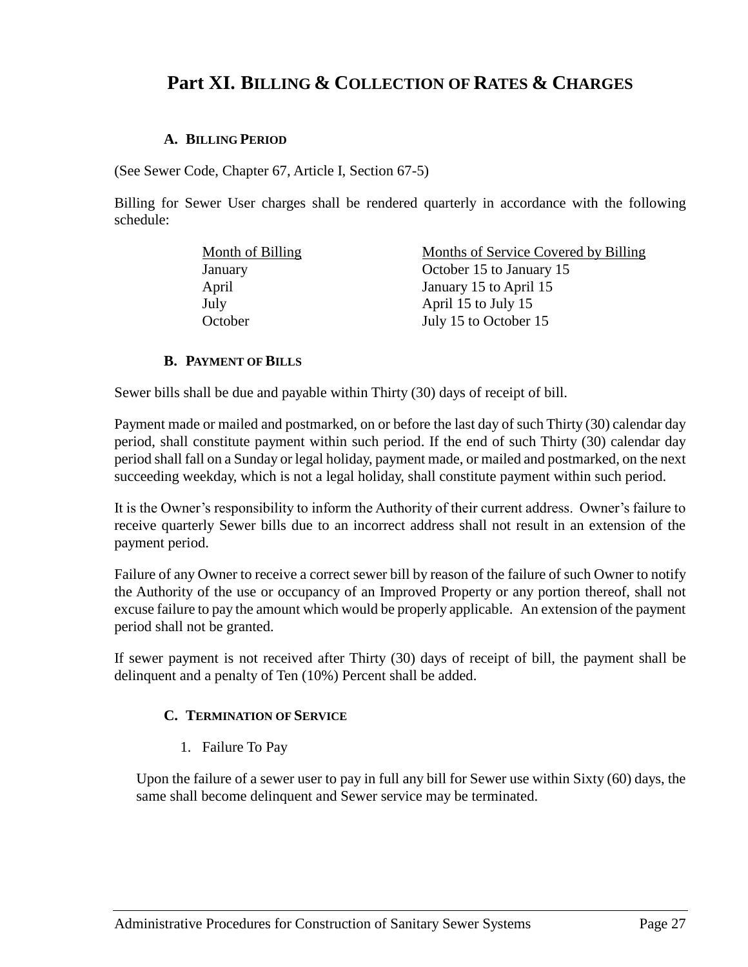## <span id="page-34-0"></span>**Part XI. BILLING & COLLECTION OF RATES & CHARGES**

#### **A. BILLING PERIOD**

<span id="page-34-1"></span>(See Sewer Code, Chapter 67, Article I, Section 67-5)

Billing for Sewer User charges shall be rendered quarterly in accordance with the following schedule:

| Month of Billing | Months of Service Covered by Billing |
|------------------|--------------------------------------|
| January          | October 15 to January 15             |
| April            | January 15 to April 15               |
| July             | April 15 to July 15                  |
| October          | July 15 to October 15                |

#### **B. PAYMENT OF BILLS**

<span id="page-34-2"></span>Sewer bills shall be due and payable within Thirty (30) days of receipt of bill.

Payment made or mailed and postmarked, on or before the last day of such Thirty (30) calendar day period, shall constitute payment within such period. If the end of such Thirty (30) calendar day period shall fall on a Sunday or legal holiday, payment made, or mailed and postmarked, on the next succeeding weekday, which is not a legal holiday, shall constitute payment within such period.

It is the Owner's responsibility to inform the Authority of their current address. Owner's failure to receive quarterly Sewer bills due to an incorrect address shall not result in an extension of the payment period.

Failure of any Owner to receive a correct sewer bill by reason of the failure of such Owner to notify the Authority of the use or occupancy of an Improved Property or any portion thereof, shall not excuse failure to pay the amount which would be properly applicable. An extension of the payment period shall not be granted.

<span id="page-34-3"></span>If sewer payment is not received after Thirty (30) days of receipt of bill, the payment shall be delinquent and a penalty of Ten (10%) Percent shall be added.

## **C. TERMINATION OF SERVICE**

1. Failure To Pay

<span id="page-34-4"></span>Upon the failure of a sewer user to pay in full any bill for Sewer use within Sixty (60) days, the same shall become delinquent and Sewer service may be terminated.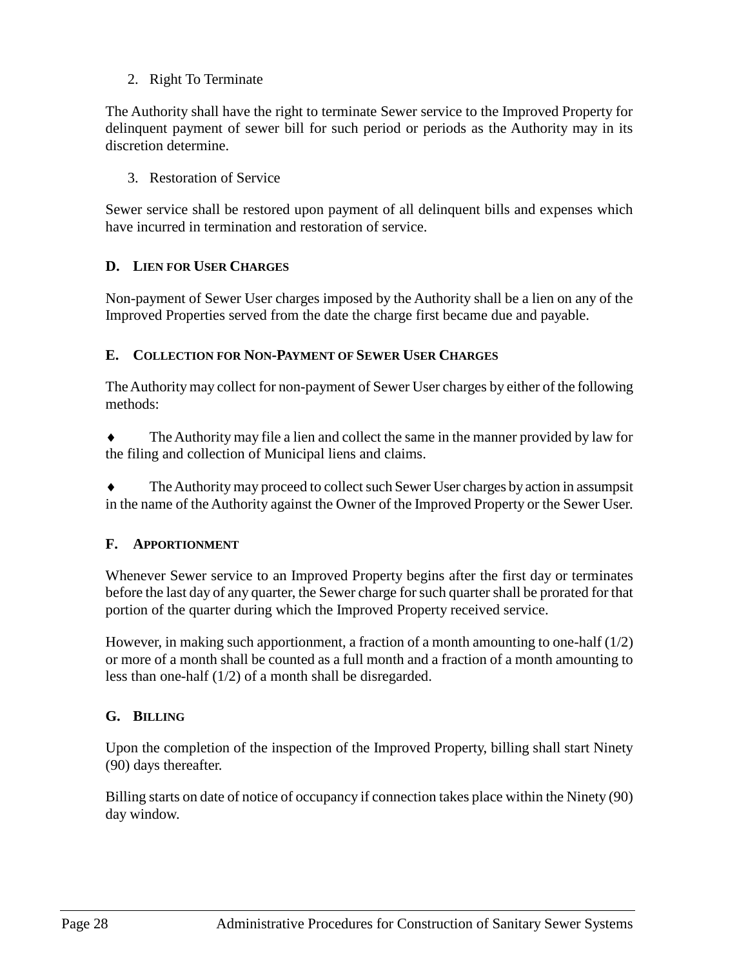## 2. Right To Terminate

<span id="page-35-0"></span>The Authority shall have the right to terminate Sewer service to the Improved Property for delinquent payment of sewer bill for such period or periods as the Authority may in its discretion determine.

3. Restoration of Service

<span id="page-35-1"></span>Sewer service shall be restored upon payment of all delinquent bills and expenses which have incurred in termination and restoration of service.

## <span id="page-35-2"></span>**D. LIEN FOR USER CHARGES**

Non-payment of Sewer User charges imposed by the Authority shall be a lien on any of the Improved Properties served from the date the charge first became due and payable.

## <span id="page-35-3"></span>**E. COLLECTION FOR NON-PAYMENT OF SEWER USER CHARGES**

The Authority may collect for non-payment of Sewer User charges by either of the following methods:

 The Authority may file a lien and collect the same in the manner provided by law for the filing and collection of Municipal liens and claims.

 The Authority may proceed to collect such Sewer User charges by action in assumpsit in the name of the Authority against the Owner of the Improved Property or the Sewer User.

## <span id="page-35-4"></span>**F. APPORTIONMENT**

Whenever Sewer service to an Improved Property begins after the first day or terminates before the last day of any quarter, the Sewer charge for such quarter shall be prorated for that portion of the quarter during which the Improved Property received service.

However, in making such apportionment, a fraction of a month amounting to one-half  $(1/2)$ or more of a month shall be counted as a full month and a fraction of a month amounting to less than one-half (1/2) of a month shall be disregarded.

## <span id="page-35-5"></span>**G. BILLING**

Upon the completion of the inspection of the Improved Property, billing shall start Ninety (90) days thereafter.

Billing starts on date of notice of occupancy if connection takes place within the Ninety (90) day window.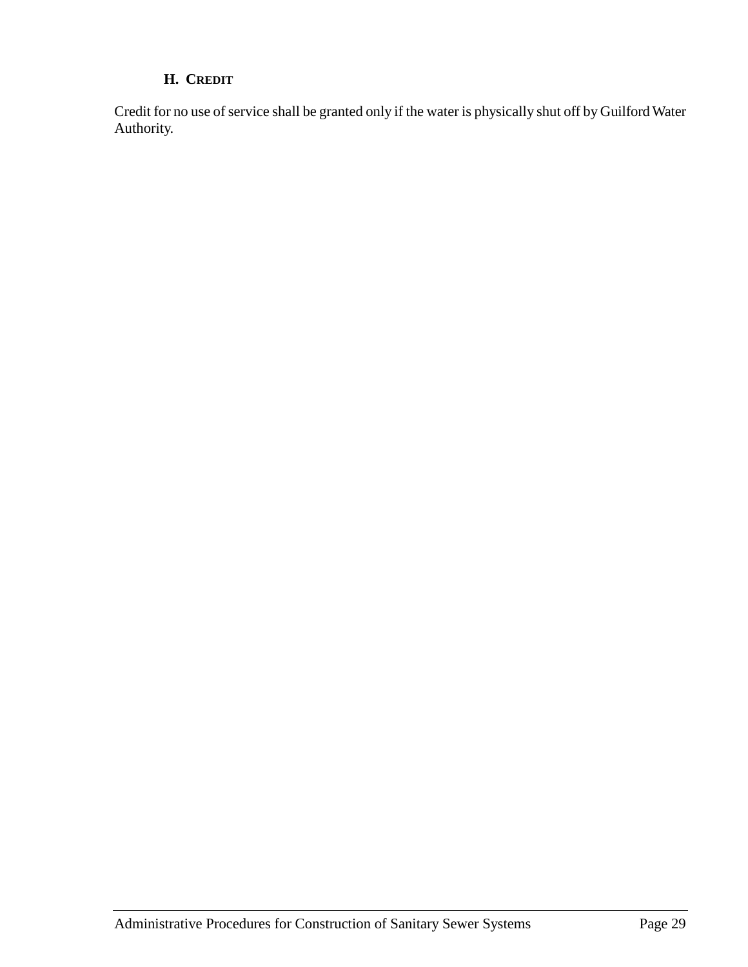## **H. CREDIT**

<span id="page-36-0"></span>Credit for no use of service shall be granted only if the water is physically shut off by Guilford Water Authority.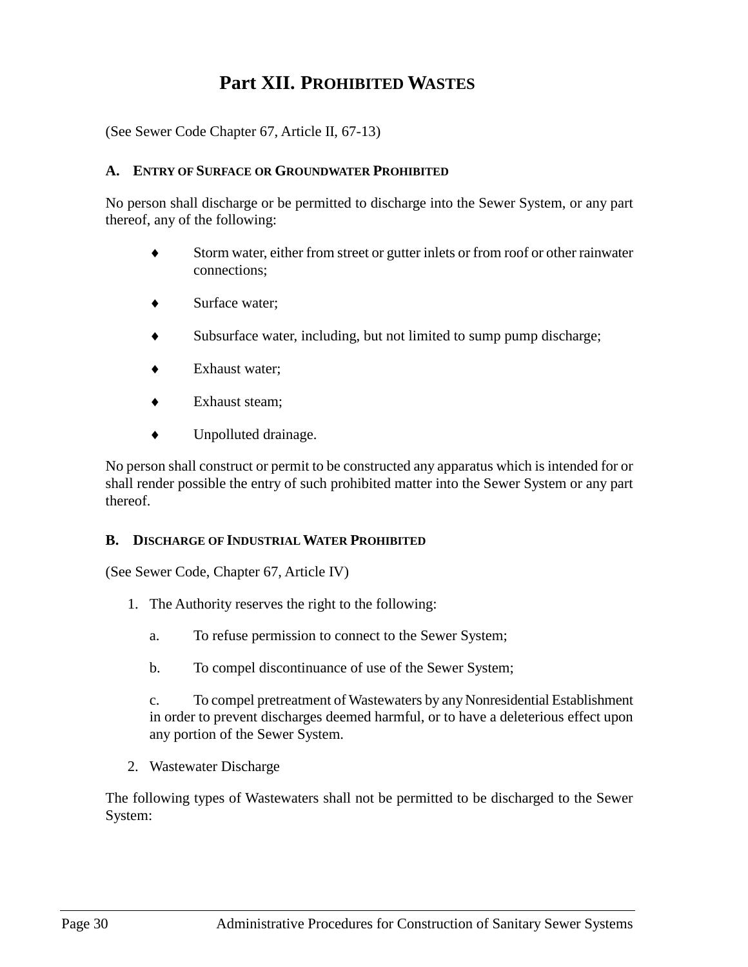## **Part XII. PROHIBITED WASTES**

<span id="page-37-0"></span>(See Sewer Code Chapter 67, Article II, 67-13)

#### <span id="page-37-1"></span>**A. ENTRY OF SURFACE OR GROUNDWATER PROHIBITED**

No person shall discharge or be permitted to discharge into the Sewer System, or any part thereof, any of the following:

- Storm water, either from street or gutter inlets or from roof or other rainwater connections;
- ◆ Surface water:
- Subsurface water, including, but not limited to sump pump discharge;
- Exhaust water;
- Exhaust steam;
- Unpolluted drainage.

No person shall construct or permit to be constructed any apparatus which is intended for or shall render possible the entry of such prohibited matter into the Sewer System or any part thereof.

#### <span id="page-37-2"></span>**B. DISCHARGE OF INDUSTRIAL WATER PROHIBITED**

(See Sewer Code, Chapter 67, Article IV)

- 1. The Authority reserves the right to the following:
	- a. To refuse permission to connect to the Sewer System;
	- b. To compel discontinuance of use of the Sewer System;

c. To compel pretreatment of Wastewaters by any Nonresidential Establishment in order to prevent discharges deemed harmful, or to have a deleterious effect upon any portion of the Sewer System.

2. Wastewater Discharge

The following types of Wastewaters shall not be permitted to be discharged to the Sewer System: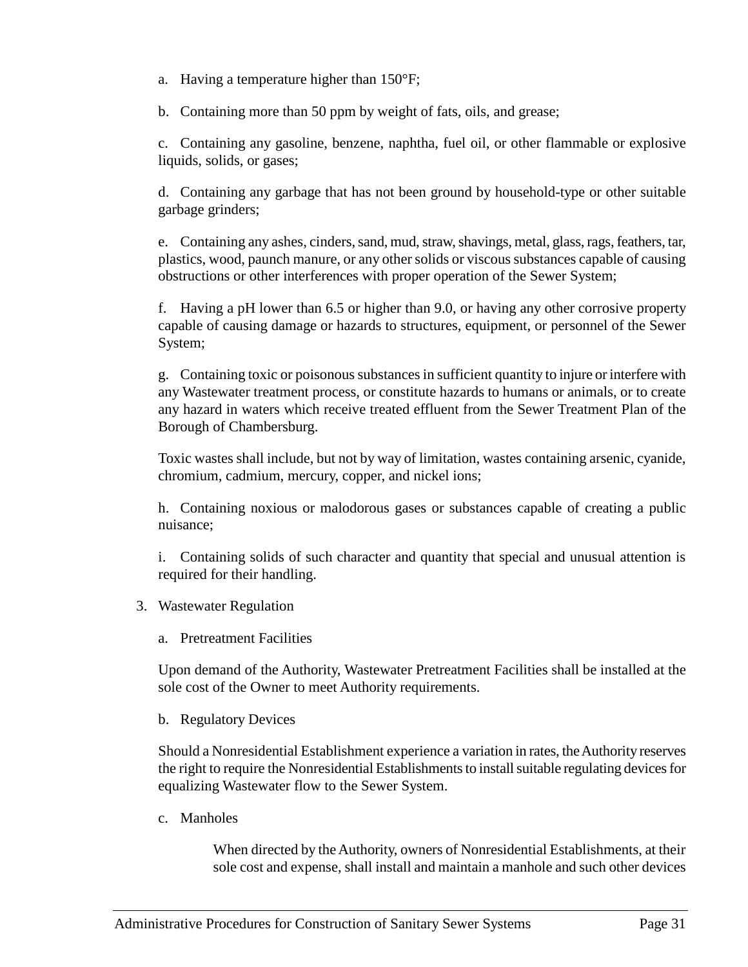a. Having a temperature higher than 150°F;

b. Containing more than 50 ppm by weight of fats, oils, and grease;

c. Containing any gasoline, benzene, naphtha, fuel oil, or other flammable or explosive liquids, solids, or gases;

d. Containing any garbage that has not been ground by household-type or other suitable garbage grinders;

e. Containing any ashes, cinders, sand, mud, straw, shavings, metal, glass, rags, feathers, tar, plastics, wood, paunch manure, or any other solids or viscous substances capable of causing obstructions or other interferences with proper operation of the Sewer System;

f. Having a pH lower than 6.5 or higher than 9.0, or having any other corrosive property capable of causing damage or hazards to structures, equipment, or personnel of the Sewer System;

g. Containing toxic or poisonous substances in sufficient quantity to injure or interfere with any Wastewater treatment process, or constitute hazards to humans or animals, or to create any hazard in waters which receive treated effluent from the Sewer Treatment Plan of the Borough of Chambersburg.

Toxic wastes shall include, but not by way of limitation, wastes containing arsenic, cyanide, chromium, cadmium, mercury, copper, and nickel ions;

h. Containing noxious or malodorous gases or substances capable of creating a public nuisance;

i. Containing solids of such character and quantity that special and unusual attention is required for their handling.

- 3. Wastewater Regulation
	- a. Pretreatment Facilities

Upon demand of the Authority, Wastewater Pretreatment Facilities shall be installed at the sole cost of the Owner to meet Authority requirements.

b. Regulatory Devices

Should a Nonresidential Establishment experience a variation in rates, the Authority reserves the right to require the Nonresidential Establishments to install suitable regulating devices for equalizing Wastewater flow to the Sewer System.

c. Manholes

When directed by the Authority, owners of Nonresidential Establishments, at their sole cost and expense, shall install and maintain a manhole and such other devices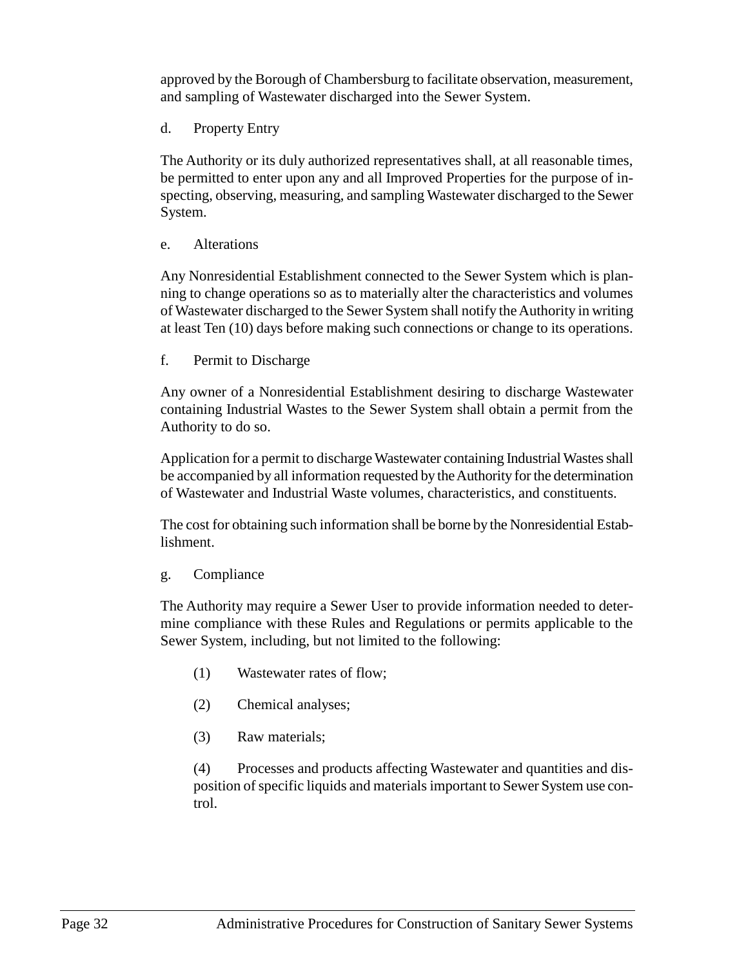approved by the Borough of Chambersburg to facilitate observation, measurement, and sampling of Wastewater discharged into the Sewer System.

d. Property Entry

The Authority or its duly authorized representatives shall, at all reasonable times, be permitted to enter upon any and all Improved Properties for the purpose of inspecting, observing, measuring, and sampling Wastewater discharged to the Sewer System.

## e. Alterations

Any Nonresidential Establishment connected to the Sewer System which is planning to change operations so as to materially alter the characteristics and volumes of Wastewater discharged to the Sewer System shall notify the Authority in writing at least Ten (10) days before making such connections or change to its operations.

f. Permit to Discharge

Any owner of a Nonresidential Establishment desiring to discharge Wastewater containing Industrial Wastes to the Sewer System shall obtain a permit from the Authority to do so.

Application for a permit to discharge Wastewater containing Industrial Wastes shall be accompanied by all information requested by the Authority for the determination of Wastewater and Industrial Waste volumes, characteristics, and constituents.

The cost for obtaining such information shall be borne by the Nonresidential Establishment.

## g. Compliance

The Authority may require a Sewer User to provide information needed to determine compliance with these Rules and Regulations or permits applicable to the Sewer System, including, but not limited to the following:

- (1) Wastewater rates of flow;
- (2) Chemical analyses;
- (3) Raw materials;

(4) Processes and products affecting Wastewater and quantities and disposition of specific liquids and materials important to Sewer System use control.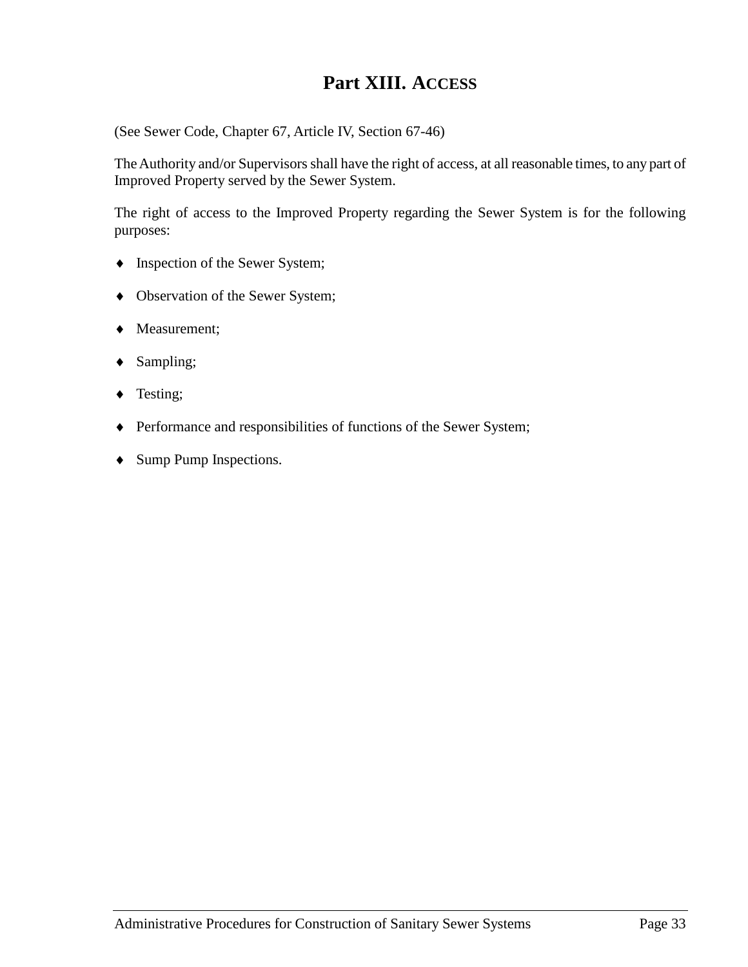## **Part XIII. ACCESS**

<span id="page-40-0"></span>(See Sewer Code, Chapter 67, Article IV, Section 67-46)

The Authority and/or Supervisors shall have the right of access, at all reasonable times, to any part of Improved Property served by the Sewer System.

The right of access to the Improved Property regarding the Sewer System is for the following purposes:

- $\bullet$  Inspection of the Sewer System;
- Observation of the Sewer System;
- Measurement;
- ◆ Sampling;
- ◆ Testing;
- Performance and responsibilities of functions of the Sewer System;
- Sump Pump Inspections.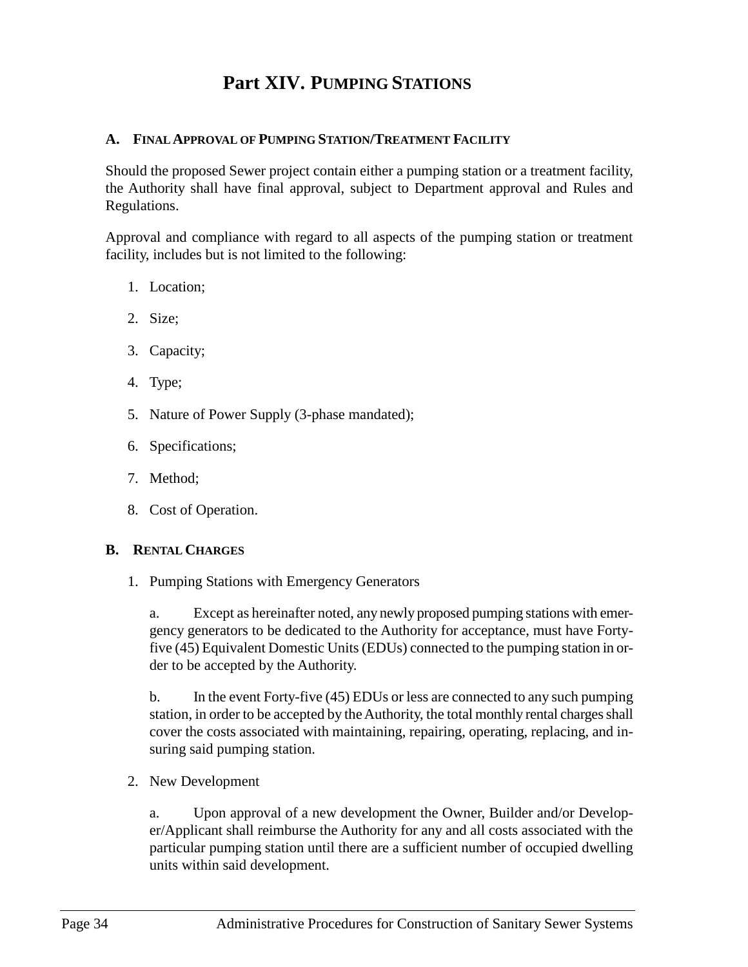## **Part XIV. PUMPING STATIONS**

#### <span id="page-41-1"></span><span id="page-41-0"></span>**A. FINAL APPROVAL OF PUMPING STATION/TREATMENT FACILITY**

Should the proposed Sewer project contain either a pumping station or a treatment facility, the Authority shall have final approval, subject to Department approval and Rules and Regulations.

Approval and compliance with regard to all aspects of the pumping station or treatment facility, includes but is not limited to the following:

- 1. Location;
- 2. Size;
- 3. Capacity;
- 4. Type;
- 5. Nature of Power Supply (3-phase mandated);
- 6. Specifications;
- 7. Method;
- 8. Cost of Operation.

#### <span id="page-41-3"></span><span id="page-41-2"></span>**B. RENTAL CHARGES**

1. Pumping Stations with Emergency Generators

a. Except as hereinafter noted, any newly proposed pumping stations with emergency generators to be dedicated to the Authority for acceptance, must have Fortyfive (45) Equivalent Domestic Units (EDUs) connected to the pumping station in order to be accepted by the Authority.

b. In the event Forty-five (45) EDUs or less are connected to any such pumping station, in order to be accepted by the Authority, the total monthly rental charges shall cover the costs associated with maintaining, repairing, operating, replacing, and insuring said pumping station.

<span id="page-41-4"></span>2. New Development

a. Upon approval of a new development the Owner, Builder and/or Developer/Applicant shall reimburse the Authority for any and all costs associated with the particular pumping station until there are a sufficient number of occupied dwelling units within said development.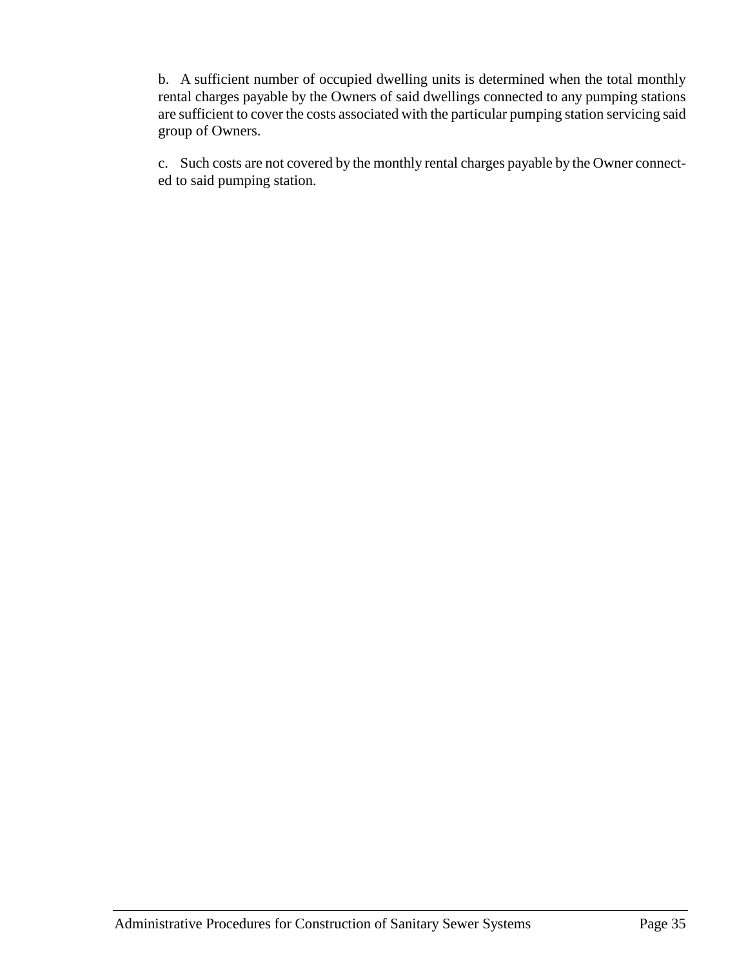b. A sufficient number of occupied dwelling units is determined when the total monthly rental charges payable by the Owners of said dwellings connected to any pumping stations are sufficient to cover the costs associated with the particular pumping station servicing said group of Owners.

c. Such costs are not covered by the monthly rental charges payable by the Owner connected to said pumping station.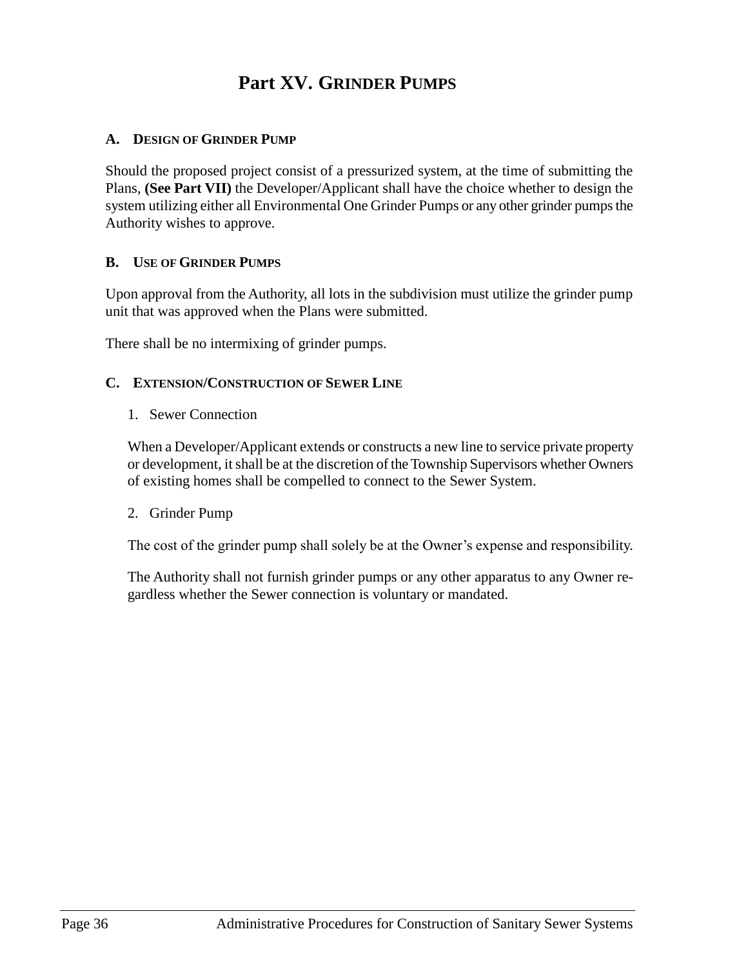## **Part XV. GRINDER PUMPS**

## <span id="page-43-1"></span><span id="page-43-0"></span>**A. DESIGN OF GRINDER PUMP**

Should the proposed project consist of a pressurized system, at the time of submitting the Plans, **(See Part VII)** the Developer/Applicant shall have the choice whether to design the system utilizing either all Environmental One Grinder Pumps or any other grinder pumps the Authority wishes to approve.

## <span id="page-43-2"></span>**B. USE OF GRINDER PUMPS**

Upon approval from the Authority, all lots in the subdivision must utilize the grinder pump unit that was approved when the Plans were submitted.

There shall be no intermixing of grinder pumps.

## <span id="page-43-4"></span><span id="page-43-3"></span>**C. EXTENSION/CONSTRUCTION OF SEWER LINE**

1. Sewer Connection

When a Developer/Applicant extends or constructs a new line to service private property or development, it shall be at the discretion of the Township Supervisors whether Owners of existing homes shall be compelled to connect to the Sewer System.

<span id="page-43-5"></span>2. Grinder Pump

The cost of the grinder pump shall solely be at the Owner's expense and responsibility.

The Authority shall not furnish grinder pumps or any other apparatus to any Owner regardless whether the Sewer connection is voluntary or mandated.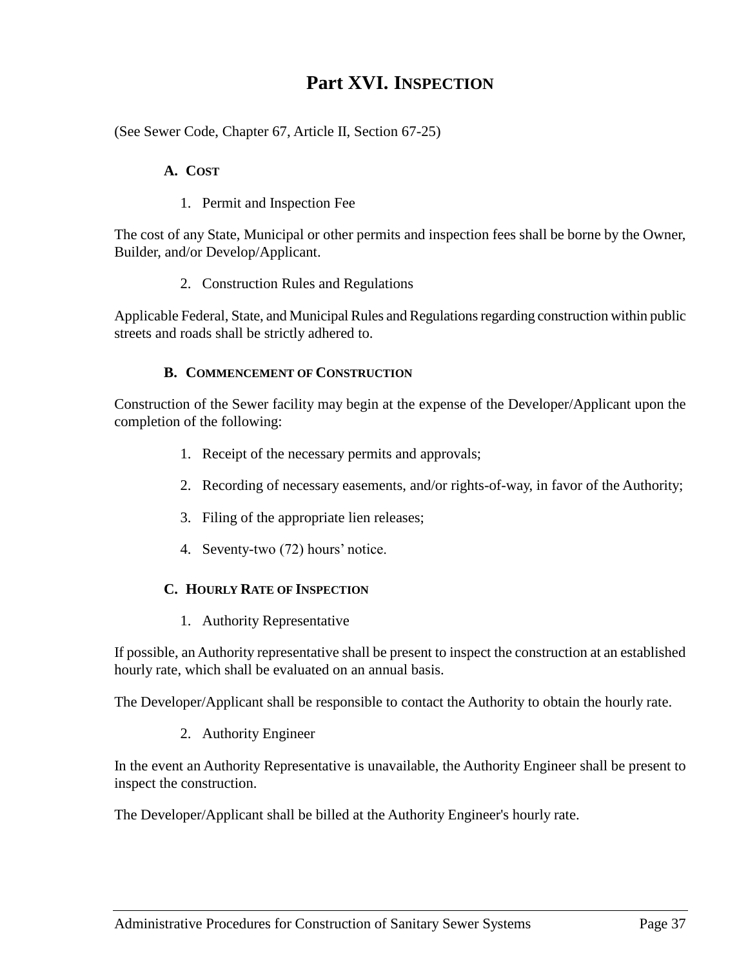## **Part XVI. INSPECTION**

<span id="page-44-1"></span><span id="page-44-0"></span>(See Sewer Code, Chapter 67, Article II, Section 67-25)

## **A. COST**

1. Permit and Inspection Fee

<span id="page-44-2"></span>The cost of any State, Municipal or other permits and inspection fees shall be borne by the Owner, Builder, and/or Develop/Applicant.

2. Construction Rules and Regulations

<span id="page-44-3"></span>Applicable Federal, State, and Municipal Rules and Regulations regarding construction within public streets and roads shall be strictly adhered to.

## **B. COMMENCEMENT OF CONSTRUCTION**

<span id="page-44-4"></span>Construction of the Sewer facility may begin at the expense of the Developer/Applicant upon the completion of the following:

- 1. Receipt of the necessary permits and approvals;
- 2. Recording of necessary easements, and/or rights-of-way, in favor of the Authority;
- 3. Filing of the appropriate lien releases;
- 4. Seventy-two (72) hours' notice.

#### <span id="page-44-5"></span>**C. HOURLY RATE OF INSPECTION**

1. Authority Representative

<span id="page-44-6"></span>If possible, an Authority representative shall be present to inspect the construction at an established hourly rate, which shall be evaluated on an annual basis.

<span id="page-44-7"></span>The Developer/Applicant shall be responsible to contact the Authority to obtain the hourly rate.

## 2. Authority Engineer

In the event an Authority Representative is unavailable, the Authority Engineer shall be present to inspect the construction.

The Developer/Applicant shall be billed at the Authority Engineer's hourly rate.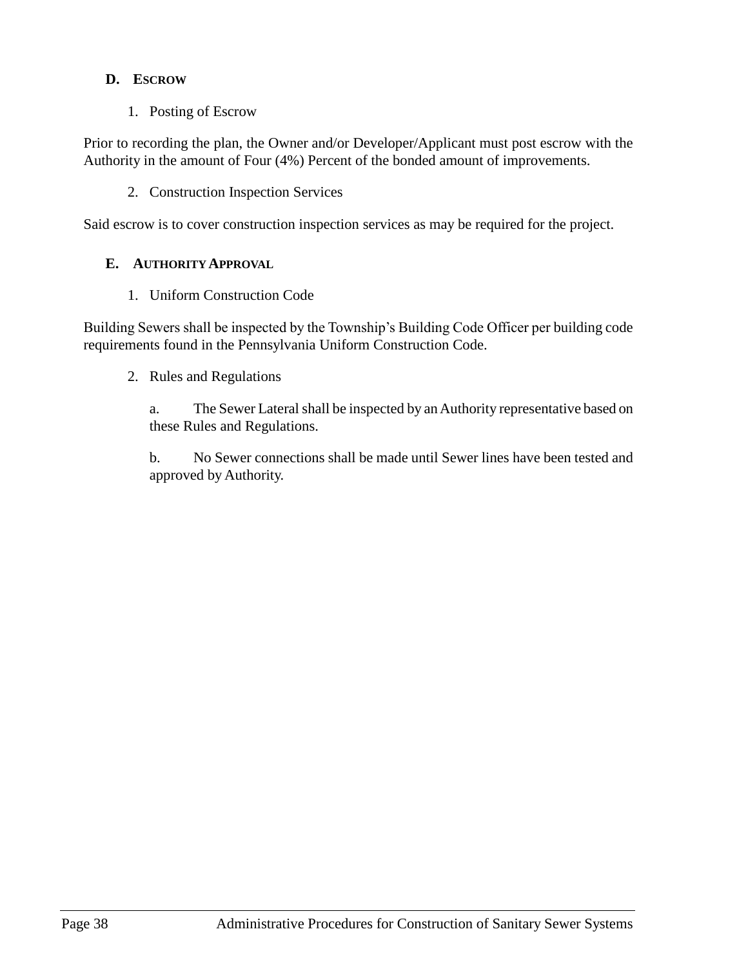## <span id="page-45-0"></span>**D. ESCROW**

1. Posting of Escrow

<span id="page-45-1"></span>Prior to recording the plan, the Owner and/or Developer/Applicant must post escrow with the Authority in the amount of Four (4%) Percent of the bonded amount of improvements.

2. Construction Inspection Services

<span id="page-45-3"></span><span id="page-45-2"></span>Said escrow is to cover construction inspection services as may be required for the project.

## **E. AUTHORITY APPROVAL**

1. Uniform Construction Code

<span id="page-45-5"></span><span id="page-45-4"></span>Building Sewers shall be inspected by the Township's Building Code Officer per building code requirements found in the Pennsylvania Uniform Construction Code.

2. Rules and Regulations

a. The Sewer Lateral shall be inspected by an Authority representative based on these Rules and Regulations.

b. No Sewer connections shall be made until Sewer lines have been tested and approved by Authority.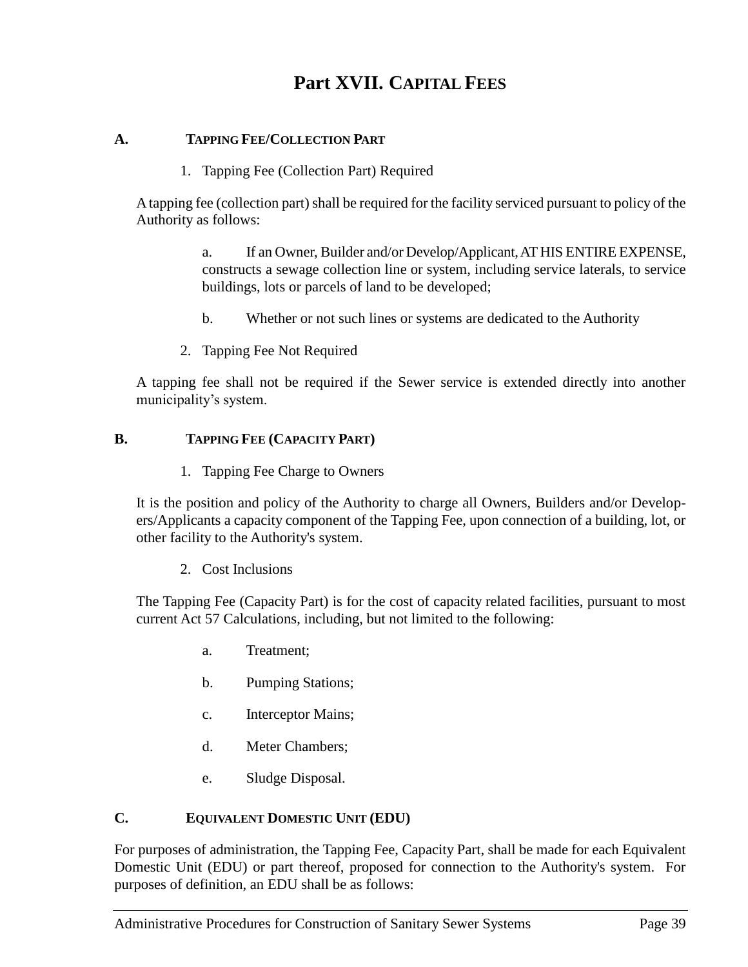## **Part XVII. CAPITAL FEES**

## <span id="page-46-2"></span><span id="page-46-1"></span><span id="page-46-0"></span>**A. TAPPING FEE/COLLECTION PART**

1. Tapping Fee (Collection Part) Required

A tapping fee (collection part) shall be required for the facility serviced pursuant to policy of the Authority as follows:

> a. If an Owner, Builder and/or Develop/Applicant, AT HIS ENTIRE EXPENSE, constructs a sewage collection line or system, including service laterals, to service buildings, lots or parcels of land to be developed;

- b. Whether or not such lines or systems are dedicated to the Authority
- 2. Tapping Fee Not Required

<span id="page-46-3"></span>A tapping fee shall not be required if the Sewer service is extended directly into another municipality's system.

## <span id="page-46-5"></span><span id="page-46-4"></span>**B. TAPPING FEE (CAPACITY PART)**

1. Tapping Fee Charge to Owners

It is the position and policy of the Authority to charge all Owners, Builders and/or Developers/Applicants a capacity component of the Tapping Fee, upon connection of a building, lot, or other facility to the Authority's system.

2. Cost Inclusions

<span id="page-46-6"></span>The Tapping Fee (Capacity Part) is for the cost of capacity related facilities, pursuant to most current Act 57 Calculations, including, but not limited to the following:

- a. Treatment;
- b. Pumping Stations;
- c. Interceptor Mains;
- d. Meter Chambers;
- e. Sludge Disposal.

## <span id="page-46-7"></span>**C. EQUIVALENT DOMESTIC UNIT (EDU)**

For purposes of administration, the Tapping Fee, Capacity Part, shall be made for each Equivalent Domestic Unit (EDU) or part thereof, proposed for connection to the Authority's system. For purposes of definition, an EDU shall be as follows: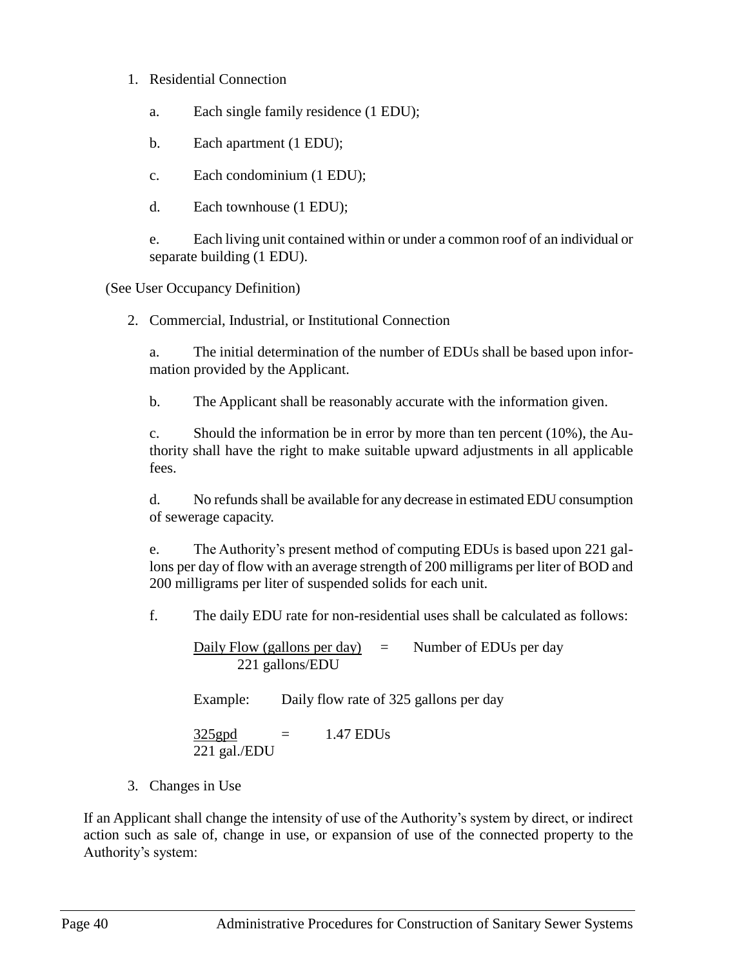## <span id="page-47-0"></span>1. Residential Connection

- a. Each single family residence (1 EDU);
- b. Each apartment (1 EDU);
- c. Each condominium (1 EDU);
- d. Each townhouse (1 EDU);

e. Each living unit contained within or under a common roof of an individual or separate building (1 EDU).

<span id="page-47-1"></span>(See User Occupancy Definition)

2. Commercial, Industrial, or Institutional Connection

a. The initial determination of the number of EDUs shall be based upon information provided by the Applicant.

b. The Applicant shall be reasonably accurate with the information given.

c. Should the information be in error by more than ten percent (10%), the Authority shall have the right to make suitable upward adjustments in all applicable fees.

d. No refunds shall be available for any decrease in estimated EDU consumption of sewerage capacity.

e. The Authority's present method of computing EDUs is based upon 221 gallons per day of flow with an average strength of 200 milligrams per liter of BOD and 200 milligrams per liter of suspended solids for each unit.

f. The daily EDU rate for non-residential uses shall be calculated as follows:

Daily Flow (gallons per day)  $=$  Number of EDUs per day 221 gallons/EDU

Example: Daily flow rate of 325 gallons per day

$$
\frac{325 \text{gpd}}{221 \text{ gal./EDU}} = 1.47 \text{ EDUs}
$$

3. Changes in Use

<span id="page-47-2"></span>If an Applicant shall change the intensity of use of the Authority's system by direct, or indirect action such as sale of, change in use, or expansion of use of the connected property to the Authority's system: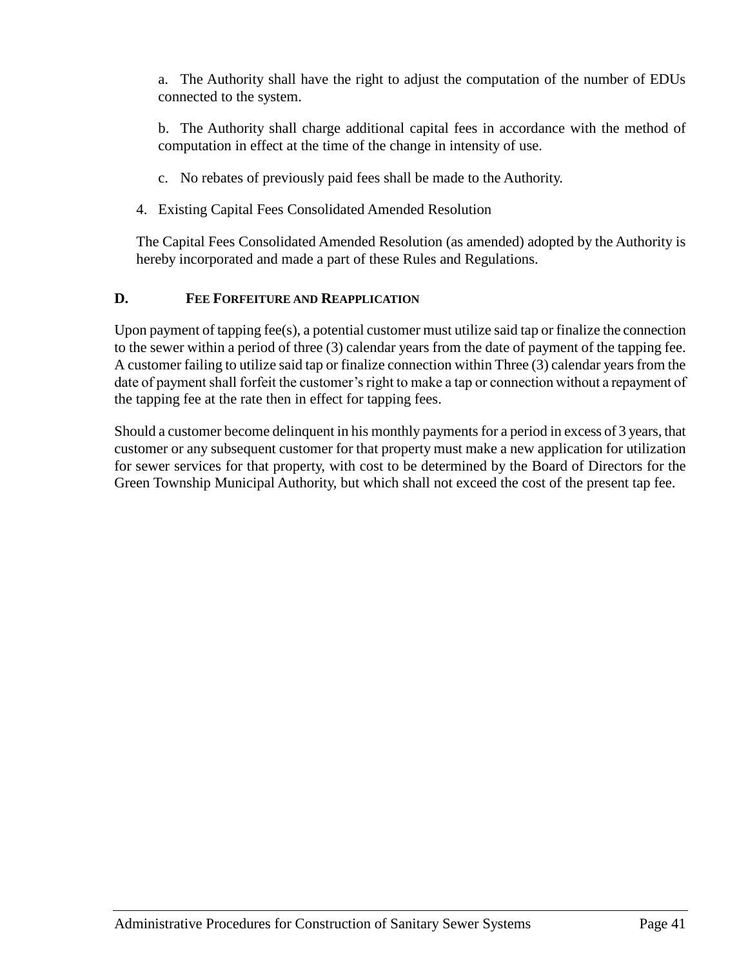a. The Authority shall have the right to adjust the computation of the number of EDUs connected to the system.

b. The Authority shall charge additional capital fees in accordance with the method of computation in effect at the time of the change in intensity of use.

- c. No rebates of previously paid fees shall be made to the Authority.
- <span id="page-48-0"></span>4. Existing Capital Fees Consolidated Amended Resolution

The Capital Fees Consolidated Amended Resolution (as amended) adopted by the Authority is hereby incorporated and made a part of these Rules and Regulations.

## **D. FEE FORFEITURE AND REAPPLICATION**

Upon payment of tapping fee(s), a potential customer must utilize said tap or finalize the connection to the sewer within a period of three (3) calendar years from the date of payment of the tapping fee. A customer failing to utilize said tap or finalize connection within Three (3) calendar years from the date of payment shall forfeit the customer's right to make a tap or connection without a repayment of the tapping fee at the rate then in effect for tapping fees.

Should a customer become delinquent in his monthly payments for a period in excess of 3 years, that customer or any subsequent customer for that property must make a new application for utilization for sewer services for that property, with cost to be determined by the Board of Directors for the Green Township Municipal Authority, but which shall not exceed the cost of the present tap fee.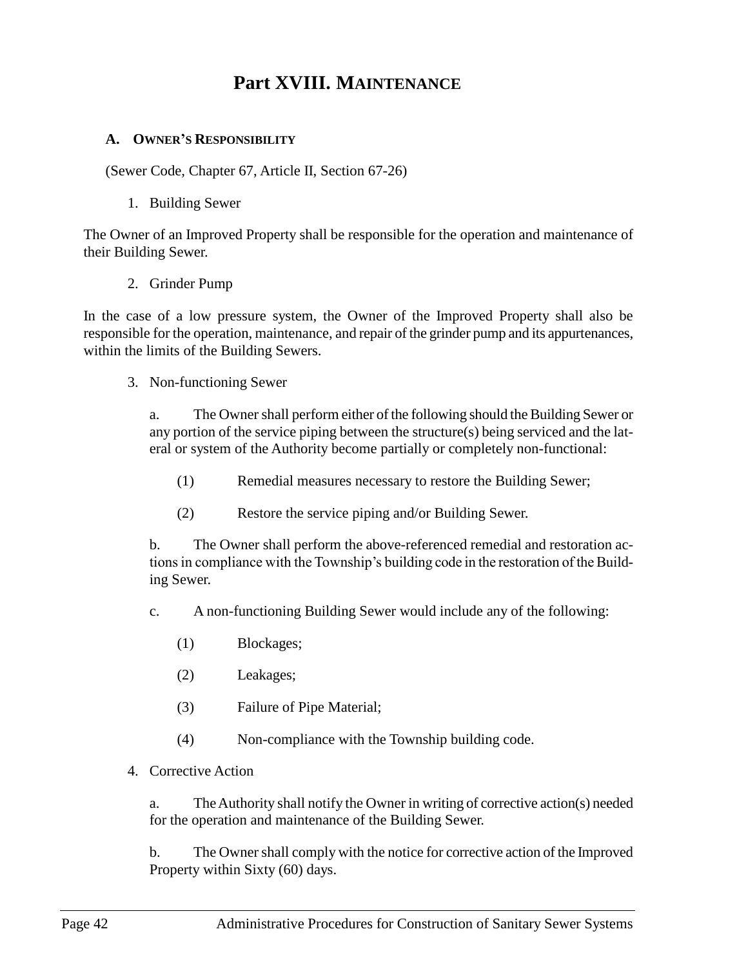## **Part XVIII. MAINTENANCE**

#### <span id="page-49-1"></span><span id="page-49-0"></span>**A. OWNER'S RESPONSIBILITY**

(Sewer Code, Chapter 67, Article II, Section 67-26)

1. Building Sewer

<span id="page-49-2"></span>The Owner of an Improved Property shall be responsible for the operation and maintenance of their Building Sewer.

2. Grinder Pump

<span id="page-49-3"></span>In the case of a low pressure system, the Owner of the Improved Property shall also be responsible for the operation, maintenance, and repair of the grinder pump and its appurtenances, within the limits of the Building Sewers.

<span id="page-49-4"></span>3. Non-functioning Sewer

a. The Owner shall perform either of the following should the Building Sewer or any portion of the service piping between the structure(s) being serviced and the lateral or system of the Authority become partially or completely non-functional:

- (1) Remedial measures necessary to restore the Building Sewer;
- (2) Restore the service piping and/or Building Sewer.

b. The Owner shall perform the above-referenced remedial and restoration actions in compliance with the Township's building code in the restoration of the Building Sewer.

c. A non-functioning Building Sewer would include any of the following:

- (1) Blockages;
- (2) Leakages;
- (3) Failure of Pipe Material;
- (4) Non-compliance with the Township building code.
- <span id="page-49-5"></span>4. Corrective Action

a. The Authority shall notify the Owner in writing of corrective action(s) needed for the operation and maintenance of the Building Sewer.

b. The Owner shall comply with the notice for corrective action of the Improved Property within Sixty (60) days.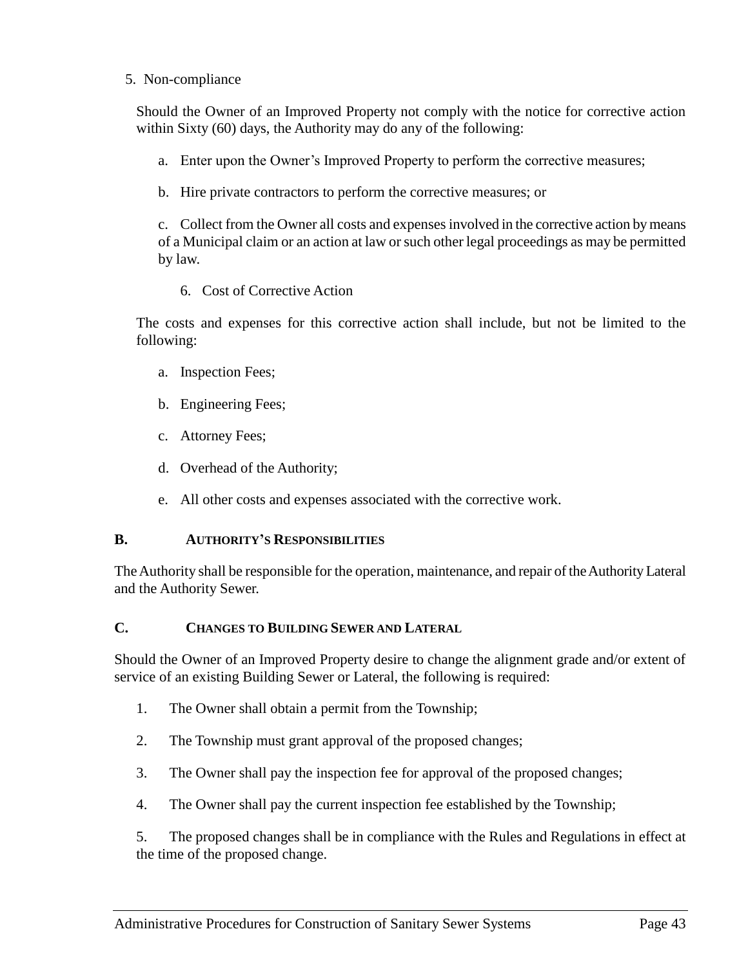#### <span id="page-50-0"></span>5. Non-compliance

Should the Owner of an Improved Property not comply with the notice for corrective action within Sixty (60) days, the Authority may do any of the following:

- a. Enter upon the Owner's Improved Property to perform the corrective measures;
- b. Hire private contractors to perform the corrective measures; or

c. Collect from the Owner all costs and expenses involved in the corrective action by means of a Municipal claim or an action at law or such other legal proceedings as may be permitted by law.

6. Cost of Corrective Action

<span id="page-50-1"></span>The costs and expenses for this corrective action shall include, but not be limited to the following:

- a. Inspection Fees;
- b. Engineering Fees;
- c. Attorney Fees;
- d. Overhead of the Authority;
- e. All other costs and expenses associated with the corrective work.

## <span id="page-50-2"></span>**B. AUTHORITY'S RESPONSIBILITIES**

The Authority shall be responsible for the operation, maintenance, and repair of the Authority Lateral and the Authority Sewer.

## <span id="page-50-3"></span>**C. CHANGES TO BUILDING SEWER AND LATERAL**

Should the Owner of an Improved Property desire to change the alignment grade and/or extent of service of an existing Building Sewer or Lateral, the following is required:

- 1. The Owner shall obtain a permit from the Township;
- 2. The Township must grant approval of the proposed changes;
- 3. The Owner shall pay the inspection fee for approval of the proposed changes;
- 4. The Owner shall pay the current inspection fee established by the Township;

5. The proposed changes shall be in compliance with the Rules and Regulations in effect at the time of the proposed change.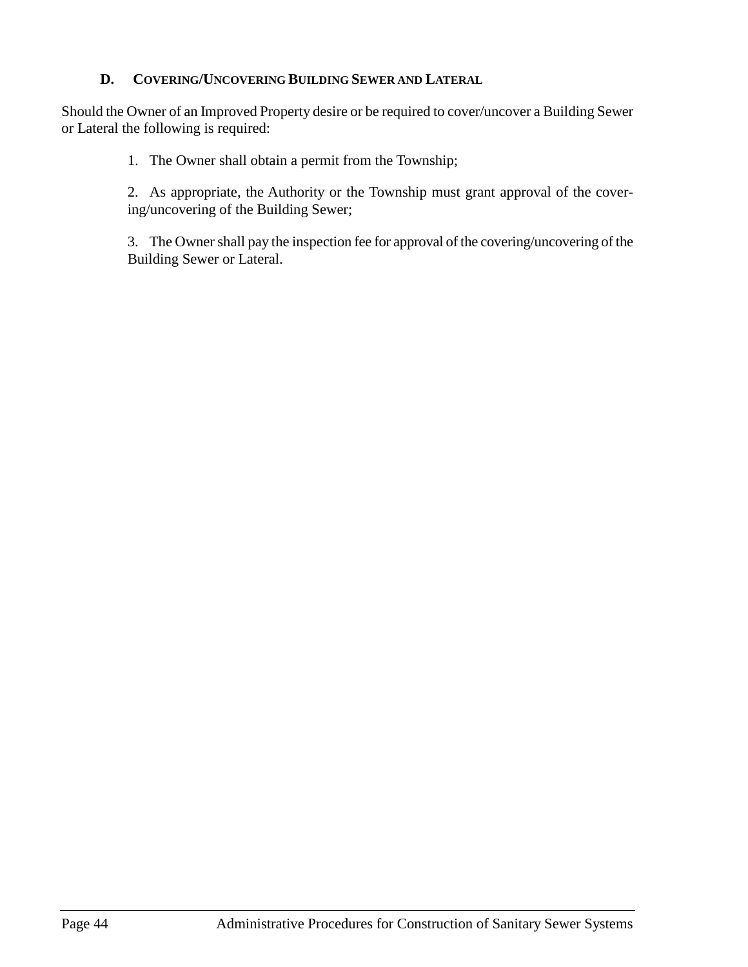## **D. COVERING/UNCOVERING BUILDING SEWER AND LATERAL**

<span id="page-51-0"></span>Should the Owner of an Improved Property desire or be required to cover/uncover a Building Sewer or Lateral the following is required:

1. The Owner shall obtain a permit from the Township;

2. As appropriate, the Authority or the Township must grant approval of the covering/uncovering of the Building Sewer;

3. The Owner shall pay the inspection fee for approval of the covering/uncovering of the Building Sewer or Lateral.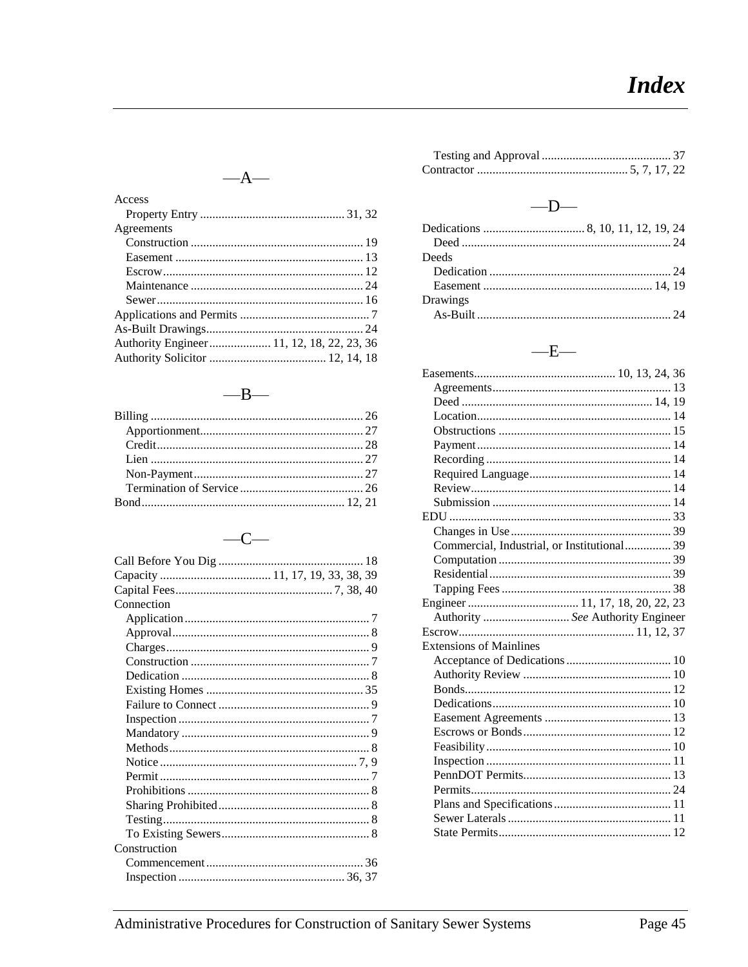## $-\mathbf{A}-$

| Access                                    |  |
|-------------------------------------------|--|
|                                           |  |
| Agreements                                |  |
|                                           |  |
|                                           |  |
|                                           |  |
|                                           |  |
|                                           |  |
|                                           |  |
|                                           |  |
| Authority Engineer 11, 12, 18, 22, 23, 36 |  |
|                                           |  |

## $-\mathbf{B}-$

#### $-C-$

| Connection   |  |
|--------------|--|
|              |  |
|              |  |
|              |  |
|              |  |
|              |  |
|              |  |
|              |  |
|              |  |
|              |  |
|              |  |
|              |  |
|              |  |
|              |  |
|              |  |
|              |  |
|              |  |
| Construction |  |
|              |  |
|              |  |

## $-\mathbf{D}-$

| Deeds    |  |
|----------|--|
|          |  |
|          |  |
| Drawings |  |
|          |  |

## $-\mathbf{E}-$

| Commercial, Industrial, or Institutional 39 |  |
|---------------------------------------------|--|
|                                             |  |
|                                             |  |
|                                             |  |
|                                             |  |
| Authority  See Authority Engineer           |  |
|                                             |  |
| <b>Extensions of Mainlines</b>              |  |
|                                             |  |
|                                             |  |
|                                             |  |
|                                             |  |
|                                             |  |
|                                             |  |
|                                             |  |
|                                             |  |
|                                             |  |
|                                             |  |
|                                             |  |
|                                             |  |
|                                             |  |
|                                             |  |